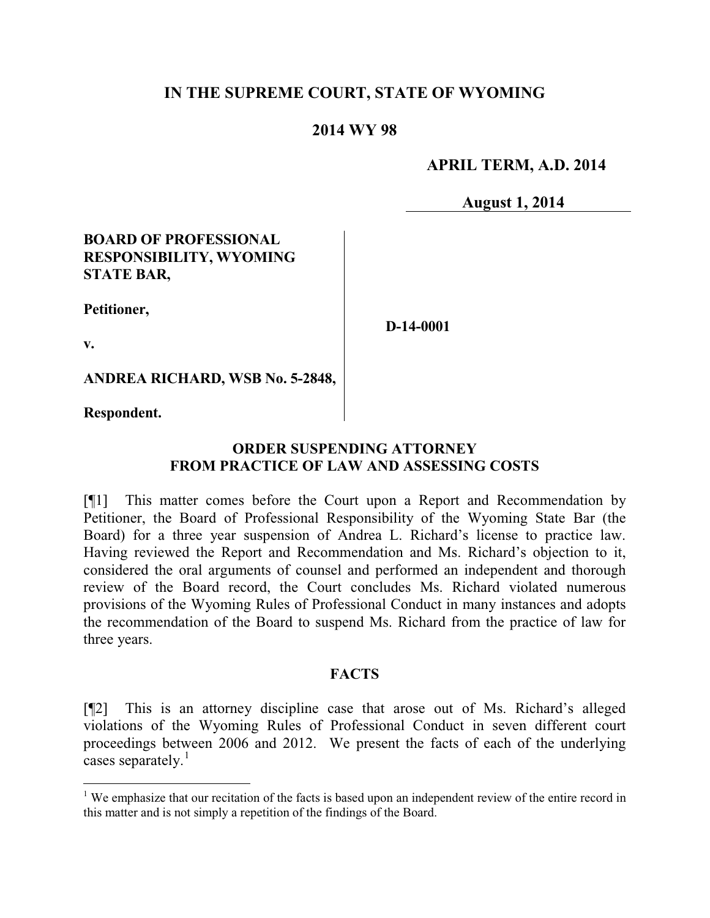# **IN THE SUPREME COURT, STATE OF WYOMING**

## **2014 WY 98**

## **APRIL TERM, A.D. 2014**

**August 1, 2014**

## **BOARD OF PROFESSIONAL RESPONSIBILITY, WYOMING STATE BAR,**

**Petitioner,**

**v.**

**D-14-0001**

**ANDREA RICHARD, WSB No. 5-2848,**

**Respondent.**

# **ORDER SUSPENDING ATTORNEY FROM PRACTICE OF LAW AND ASSESSING COSTS**

[¶1] This matter comes before the Court upon a Report and Recommendation by Petitioner, the Board of Professional Responsibility of the Wyoming State Bar (the Board) for a three year suspension of Andrea L. Richard's license to practice law. Having reviewed the Report and Recommendation and Ms. Richard's objection to it, considered the oral arguments of counsel and performed an independent and thorough review of the Board record, the Court concludes Ms. Richard violated numerous provisions of the Wyoming Rules of Professional Conduct in many instances and adopts the recommendation of the Board to suspend Ms. Richard from the practice of law for three years.

### **FACTS**

[¶2] This is an attorney discipline case that arose out of Ms. Richard's alleged violations of the Wyoming Rules of Professional Conduct in seven different court proceedings between 2006 and 2012. We present the facts of each of the underlying cases separately. $1$ 

<span id="page-0-0"></span><sup>&</sup>lt;sup>1</sup> We emphasize that our recitation of the facts is based upon an independent review of the entire record in this matter and is not simply a repetition of the findings of the Board.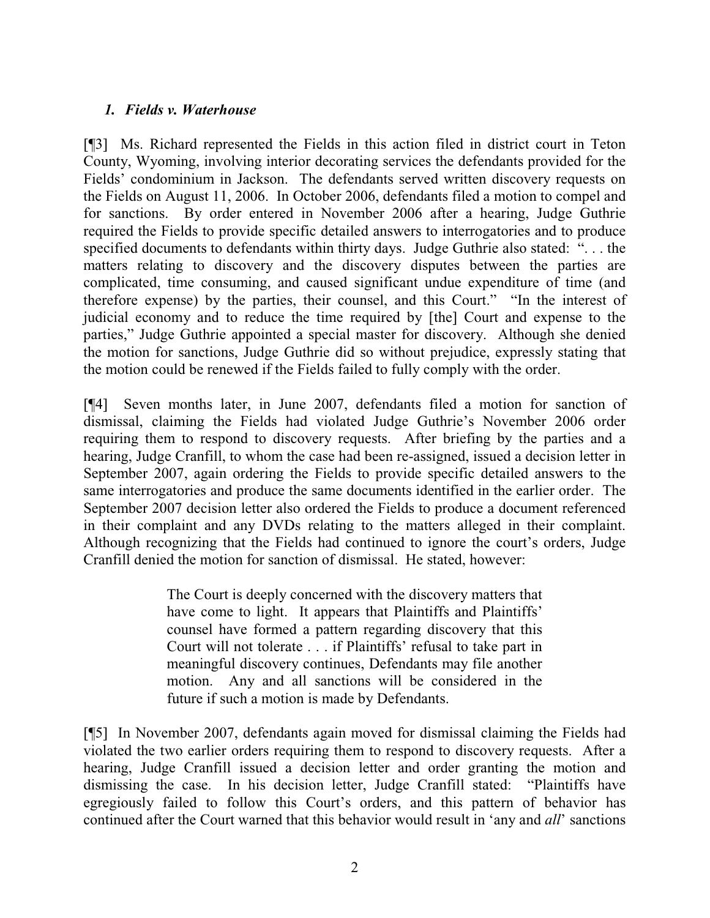# *1. Fields v. Waterhouse*

[¶3] Ms. Richard represented the Fields in this action filed in district court in Teton County, Wyoming, involving interior decorating services the defendants provided for the Fields' condominium in Jackson. The defendants served written discovery requests on the Fields on August 11, 2006. In October 2006, defendants filed a motion to compel and for sanctions. By order entered in November 2006 after a hearing, Judge Guthrie required the Fields to provide specific detailed answers to interrogatories and to produce specified documents to defendants within thirty days. Judge Guthrie also stated: ". . . the matters relating to discovery and the discovery disputes between the parties are complicated, time consuming, and caused significant undue expenditure of time (and therefore expense) by the parties, their counsel, and this Court." "In the interest of judicial economy and to reduce the time required by [the] Court and expense to the parties," Judge Guthrie appointed a special master for discovery. Although she denied the motion for sanctions, Judge Guthrie did so without prejudice, expressly stating that the motion could be renewed if the Fields failed to fully comply with the order.

[¶4] Seven months later, in June 2007, defendants filed a motion for sanction of dismissal, claiming the Fields had violated Judge Guthrie's November 2006 order requiring them to respond to discovery requests. After briefing by the parties and a hearing, Judge Cranfill, to whom the case had been re-assigned, issued a decision letter in September 2007, again ordering the Fields to provide specific detailed answers to the same interrogatories and produce the same documents identified in the earlier order. The September 2007 decision letter also ordered the Fields to produce a document referenced in their complaint and any DVDs relating to the matters alleged in their complaint. Although recognizing that the Fields had continued to ignore the court's orders, Judge Cranfill denied the motion for sanction of dismissal. He stated, however:

> The Court is deeply concerned with the discovery matters that have come to light. It appears that Plaintiffs and Plaintiffs' counsel have formed a pattern regarding discovery that this Court will not tolerate . . . if Plaintiffs' refusal to take part in meaningful discovery continues, Defendants may file another motion. Any and all sanctions will be considered in the future if such a motion is made by Defendants.

[¶5] In November 2007, defendants again moved for dismissal claiming the Fields had violated the two earlier orders requiring them to respond to discovery requests. After a hearing, Judge Cranfill issued a decision letter and order granting the motion and dismissing the case. In his decision letter, Judge Cranfill stated: "Plaintiffs have egregiously failed to follow this Court's orders, and this pattern of behavior has continued after the Court warned that this behavior would result in 'any and *all*' sanctions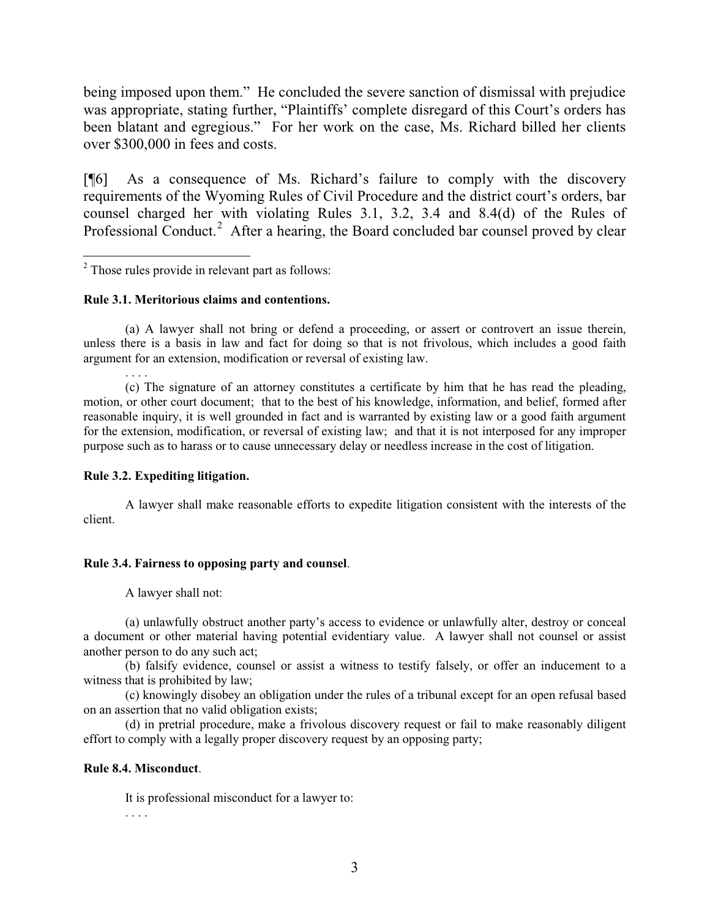being imposed upon them." He concluded the severe sanction of dismissal with prejudice was appropriate, stating further, "Plaintiffs' complete disregard of this Court's orders has been blatant and egregious." For her work on the case, Ms. Richard billed her clients over \$300,000 in fees and costs.

[¶6] As a consequence of Ms. Richard's failure to comply with the discovery requirements of the Wyoming Rules of Civil Procedure and the district court's orders, bar counsel charged her with violating Rules 3.1, 3.2, 3.4 and 8.4(d) of the Rules of Professional Conduct.<sup>[2](#page-2-0)</sup> After a hearing, the Board concluded bar counsel proved by clear

#### **Rule 3.1. Meritorious claims and contentions.**

(a) A lawyer shall not bring or defend a proceeding, or assert or controvert an issue therein, unless there is a basis in law and fact for doing so that is not frivolous, which includes a good faith argument for an extension, modification or reversal of existing law.

. . . . (c) The signature of an attorney constitutes a certificate by him that he has read the pleading, motion, or other court document; that to the best of his knowledge, information, and belief, formed after reasonable inquiry, it is well grounded in fact and is warranted by existing law or a good faith argument for the extension, modification, or reversal of existing law; and that it is not interposed for any improper purpose such as to harass or to cause unnecessary delay or needless increase in the cost of litigation.

#### **Rule 3.2. Expediting litigation.**

A lawyer shall make reasonable efforts to expedite litigation consistent with the interests of the client.

#### **Rule 3.4. Fairness to opposing party and counsel**.

A lawyer shall not:

(a) unlawfully obstruct another party's access to evidence or unlawfully alter, destroy or conceal a document or other material having potential evidentiary value. A lawyer shall not counsel or assist another person to do any such act;

(b) falsify evidence, counsel or assist a witness to testify falsely, or offer an inducement to a witness that is prohibited by law;

(c) knowingly disobey an obligation under the rules of a tribunal except for an open refusal based on an assertion that no valid obligation exists;

(d) in pretrial procedure, make a frivolous discovery request or fail to make reasonably diligent effort to comply with a legally proper discovery request by an opposing party;

#### **Rule 8.4. Misconduct**.

It is professional misconduct for a lawyer to:

. . . .

<span id="page-2-0"></span><sup>2</sup> Those rules provide in relevant part as follows: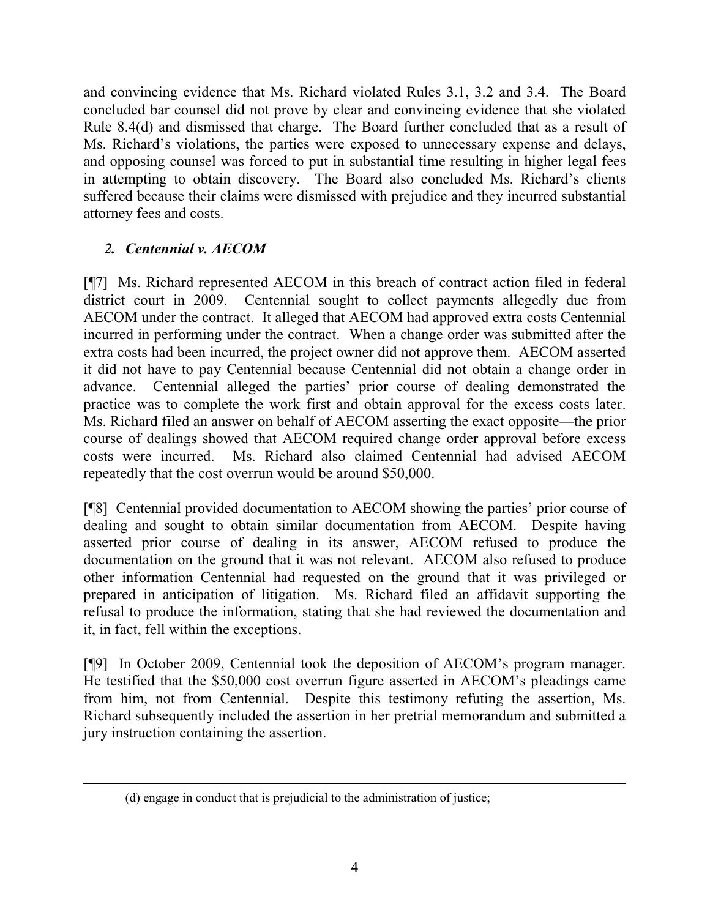and convincing evidence that Ms. Richard violated Rules 3.1, 3.2 and 3.4. The Board concluded bar counsel did not prove by clear and convincing evidence that she violated Rule 8.4(d) and dismissed that charge. The Board further concluded that as a result of Ms. Richard's violations, the parties were exposed to unnecessary expense and delays, and opposing counsel was forced to put in substantial time resulting in higher legal fees in attempting to obtain discovery. The Board also concluded Ms. Richard's clients suffered because their claims were dismissed with prejudice and they incurred substantial attorney fees and costs.

# *2. Centennial v. AECOM*

[¶7] Ms. Richard represented AECOM in this breach of contract action filed in federal district court in 2009. Centennial sought to collect payments allegedly due from AECOM under the contract. It alleged that AECOM had approved extra costs Centennial incurred in performing under the contract. When a change order was submitted after the extra costs had been incurred, the project owner did not approve them. AECOM asserted it did not have to pay Centennial because Centennial did not obtain a change order in advance. Centennial alleged the parties' prior course of dealing demonstrated the practice was to complete the work first and obtain approval for the excess costs later. Ms. Richard filed an answer on behalf of AECOM asserting the exact opposite—the prior course of dealings showed that AECOM required change order approval before excess costs were incurred. Ms. Richard also claimed Centennial had advised AECOM repeatedly that the cost overrun would be around \$50,000.

[¶8] Centennial provided documentation to AECOM showing the parties' prior course of dealing and sought to obtain similar documentation from AECOM. Despite having asserted prior course of dealing in its answer, AECOM refused to produce the documentation on the ground that it was not relevant. AECOM also refused to produce other information Centennial had requested on the ground that it was privileged or prepared in anticipation of litigation. Ms. Richard filed an affidavit supporting the refusal to produce the information, stating that she had reviewed the documentation and it, in fact, fell within the exceptions.

[¶9] In October 2009, Centennial took the deposition of AECOM's program manager. He testified that the \$50,000 cost overrun figure asserted in AECOM's pleadings came from him, not from Centennial. Despite this testimony refuting the assertion, Ms. Richard subsequently included the assertion in her pretrial memorandum and submitted a jury instruction containing the assertion.

<sup>(</sup>d) engage in conduct that is prejudicial to the administration of justice;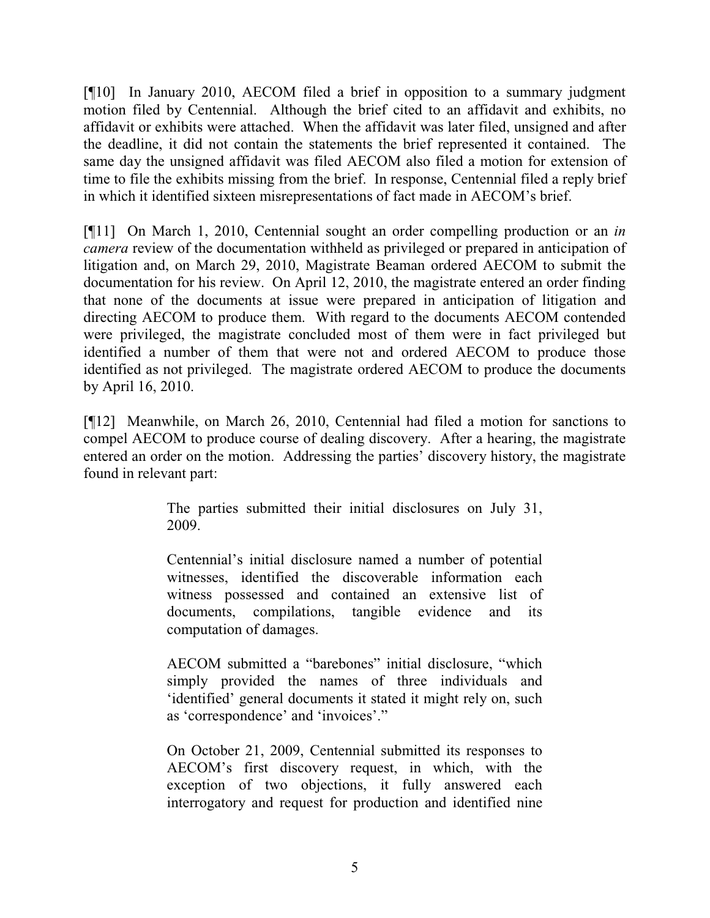[¶10] In January 2010, AECOM filed a brief in opposition to a summary judgment motion filed by Centennial. Although the brief cited to an affidavit and exhibits, no affidavit or exhibits were attached. When the affidavit was later filed, unsigned and after the deadline, it did not contain the statements the brief represented it contained. The same day the unsigned affidavit was filed AECOM also filed a motion for extension of time to file the exhibits missing from the brief. In response, Centennial filed a reply brief in which it identified sixteen misrepresentations of fact made in AECOM's brief.

[¶11] On March 1, 2010, Centennial sought an order compelling production or an *in camera* review of the documentation withheld as privileged or prepared in anticipation of litigation and, on March 29, 2010, Magistrate Beaman ordered AECOM to submit the documentation for his review. On April 12, 2010, the magistrate entered an order finding that none of the documents at issue were prepared in anticipation of litigation and directing AECOM to produce them. With regard to the documents AECOM contended were privileged, the magistrate concluded most of them were in fact privileged but identified a number of them that were not and ordered AECOM to produce those identified as not privileged. The magistrate ordered AECOM to produce the documents by April 16, 2010.

[¶12] Meanwhile, on March 26, 2010, Centennial had filed a motion for sanctions to compel AECOM to produce course of dealing discovery. After a hearing, the magistrate entered an order on the motion. Addressing the parties' discovery history, the magistrate found in relevant part:

> The parties submitted their initial disclosures on July 31, 2009.

> Centennial's initial disclosure named a number of potential witnesses, identified the discoverable information each witness possessed and contained an extensive list of documents, compilations, tangible evidence and its computation of damages.

> AECOM submitted a "barebones" initial disclosure, "which simply provided the names of three individuals and 'identified' general documents it stated it might rely on, such as 'correspondence' and 'invoices'."

> On October 21, 2009, Centennial submitted its responses to AECOM's first discovery request, in which, with the exception of two objections, it fully answered each interrogatory and request for production and identified nine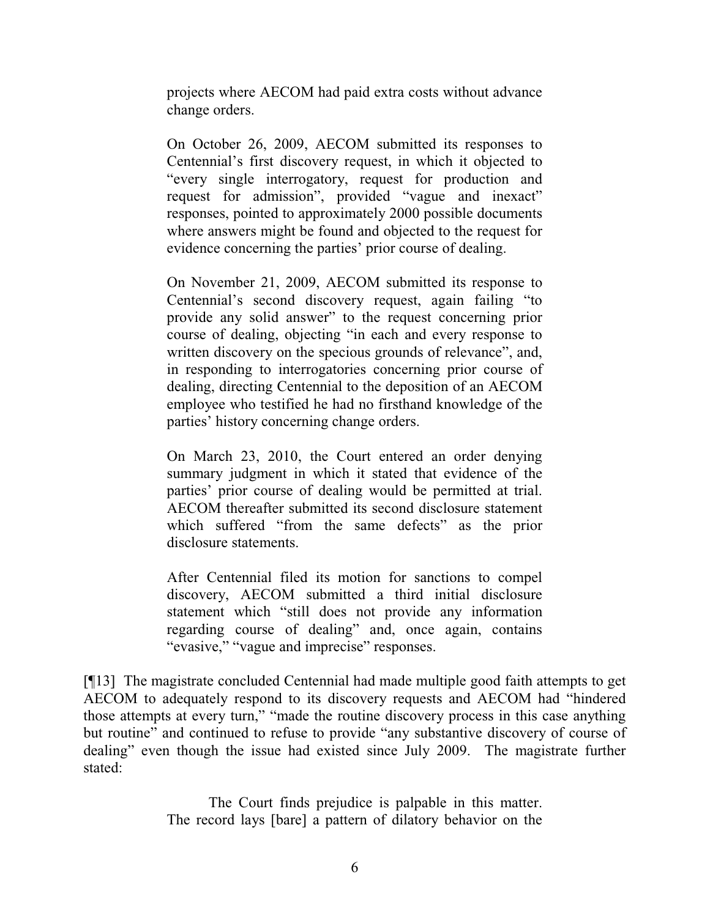projects where AECOM had paid extra costs without advance change orders.

On October 26, 2009, AECOM submitted its responses to Centennial's first discovery request, in which it objected to "every single interrogatory, request for production and request for admission", provided "vague and inexact" responses, pointed to approximately 2000 possible documents where answers might be found and objected to the request for evidence concerning the parties' prior course of dealing.

On November 21, 2009, AECOM submitted its response to Centennial's second discovery request, again failing "to provide any solid answer" to the request concerning prior course of dealing, objecting "in each and every response to written discovery on the specious grounds of relevance", and, in responding to interrogatories concerning prior course of dealing, directing Centennial to the deposition of an AECOM employee who testified he had no firsthand knowledge of the parties' history concerning change orders.

On March 23, 2010, the Court entered an order denying summary judgment in which it stated that evidence of the parties' prior course of dealing would be permitted at trial. AECOM thereafter submitted its second disclosure statement which suffered "from the same defects" as the prior disclosure statements.

After Centennial filed its motion for sanctions to compel discovery, AECOM submitted a third initial disclosure statement which "still does not provide any information regarding course of dealing" and, once again, contains "evasive," "vague and imprecise" responses.

[¶13] The magistrate concluded Centennial had made multiple good faith attempts to get AECOM to adequately respond to its discovery requests and AECOM had "hindered those attempts at every turn," "made the routine discovery process in this case anything but routine" and continued to refuse to provide "any substantive discovery of course of dealing" even though the issue had existed since July 2009. The magistrate further stated:

> The Court finds prejudice is palpable in this matter. The record lays [bare] a pattern of dilatory behavior on the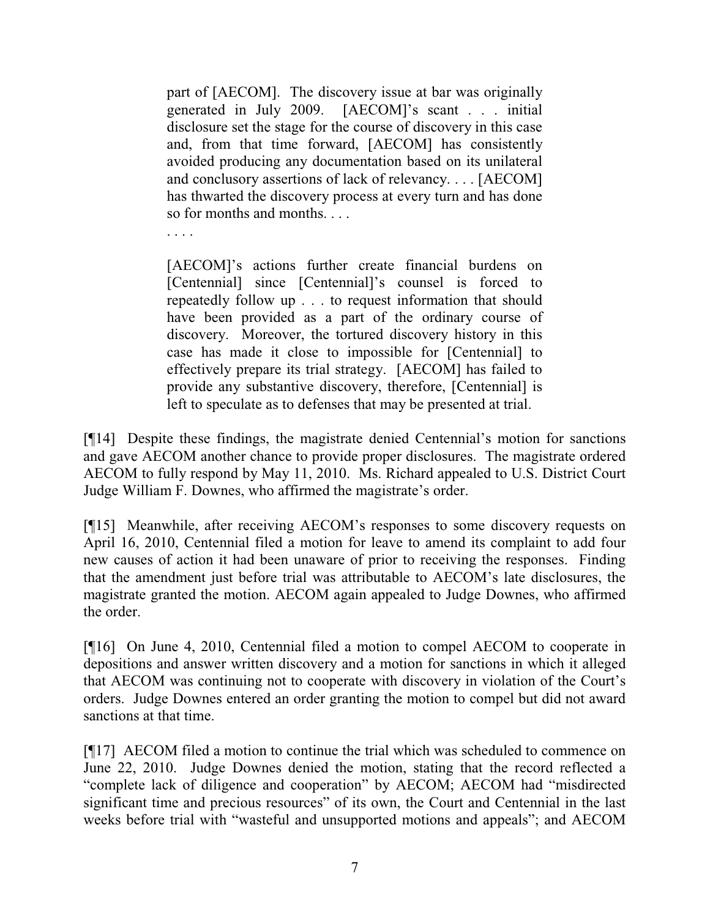part of [AECOM]. The discovery issue at bar was originally generated in July 2009. [AECOM]'s scant . . . initial disclosure set the stage for the course of discovery in this case and, from that time forward, [AECOM] has consistently avoided producing any documentation based on its unilateral and conclusory assertions of lack of relevancy. . . . [AECOM] has thwarted the discovery process at every turn and has done so for months and months. . . .

. . . .

[AECOM]'s actions further create financial burdens on [Centennial] since [Centennial]'s counsel is forced to repeatedly follow up . . . to request information that should have been provided as a part of the ordinary course of discovery. Moreover, the tortured discovery history in this case has made it close to impossible for [Centennial] to effectively prepare its trial strategy. [AECOM] has failed to provide any substantive discovery, therefore, [Centennial] is left to speculate as to defenses that may be presented at trial.

[¶14] Despite these findings, the magistrate denied Centennial's motion for sanctions and gave AECOM another chance to provide proper disclosures. The magistrate ordered AECOM to fully respond by May 11, 2010. Ms. Richard appealed to U.S. District Court Judge William F. Downes, who affirmed the magistrate's order.

[¶15] Meanwhile, after receiving AECOM's responses to some discovery requests on April 16, 2010, Centennial filed a motion for leave to amend its complaint to add four new causes of action it had been unaware of prior to receiving the responses. Finding that the amendment just before trial was attributable to AECOM's late disclosures, the magistrate granted the motion. AECOM again appealed to Judge Downes, who affirmed the order.

[¶16] On June 4, 2010, Centennial filed a motion to compel AECOM to cooperate in depositions and answer written discovery and a motion for sanctions in which it alleged that AECOM was continuing not to cooperate with discovery in violation of the Court's orders. Judge Downes entered an order granting the motion to compel but did not award sanctions at that time.

[¶17] AECOM filed a motion to continue the trial which was scheduled to commence on June 22, 2010. Judge Downes denied the motion, stating that the record reflected a "complete lack of diligence and cooperation" by AECOM; AECOM had "misdirected significant time and precious resources" of its own, the Court and Centennial in the last weeks before trial with "wasteful and unsupported motions and appeals"; and AECOM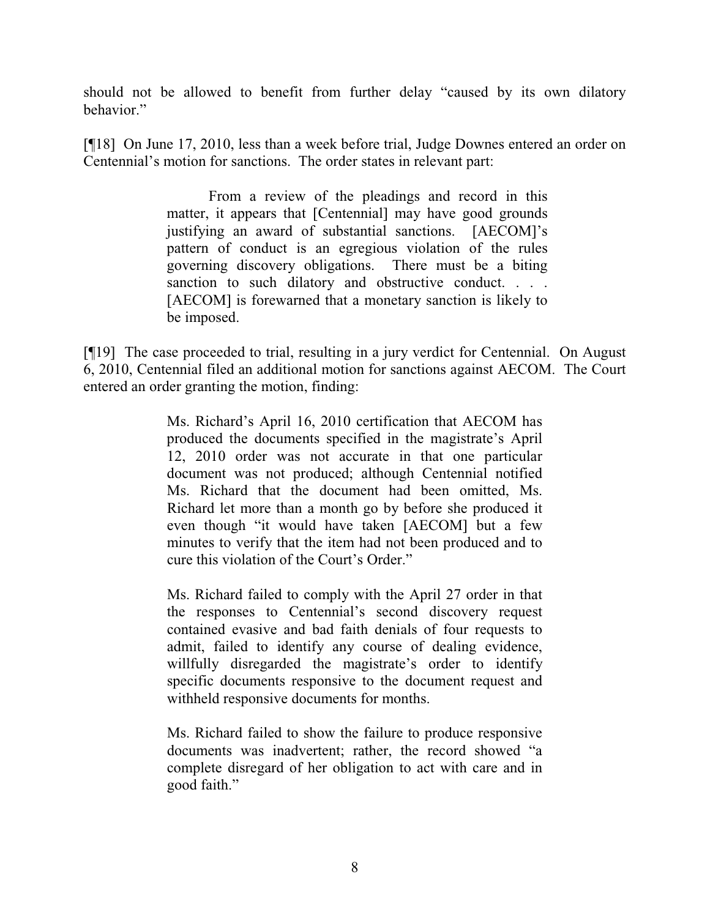should not be allowed to benefit from further delay "caused by its own dilatory behavior."

[¶18] On June 17, 2010, less than a week before trial, Judge Downes entered an order on Centennial's motion for sanctions. The order states in relevant part:

> From a review of the pleadings and record in this matter, it appears that [Centennial] may have good grounds justifying an award of substantial sanctions. [AECOM]'s pattern of conduct is an egregious violation of the rules governing discovery obligations. There must be a biting sanction to such dilatory and obstructive conduct. . . . [AECOM] is forewarned that a monetary sanction is likely to be imposed.

[¶19] The case proceeded to trial, resulting in a jury verdict for Centennial. On August 6, 2010, Centennial filed an additional motion for sanctions against AECOM. The Court entered an order granting the motion, finding:

> Ms. Richard's April 16, 2010 certification that AECOM has produced the documents specified in the magistrate's April 12, 2010 order was not accurate in that one particular document was not produced; although Centennial notified Ms. Richard that the document had been omitted, Ms. Richard let more than a month go by before she produced it even though "it would have taken [AECOM] but a few minutes to verify that the item had not been produced and to cure this violation of the Court's Order."

> Ms. Richard failed to comply with the April 27 order in that the responses to Centennial's second discovery request contained evasive and bad faith denials of four requests to admit, failed to identify any course of dealing evidence, willfully disregarded the magistrate's order to identify specific documents responsive to the document request and withheld responsive documents for months.

> Ms. Richard failed to show the failure to produce responsive documents was inadvertent; rather, the record showed "a complete disregard of her obligation to act with care and in good faith."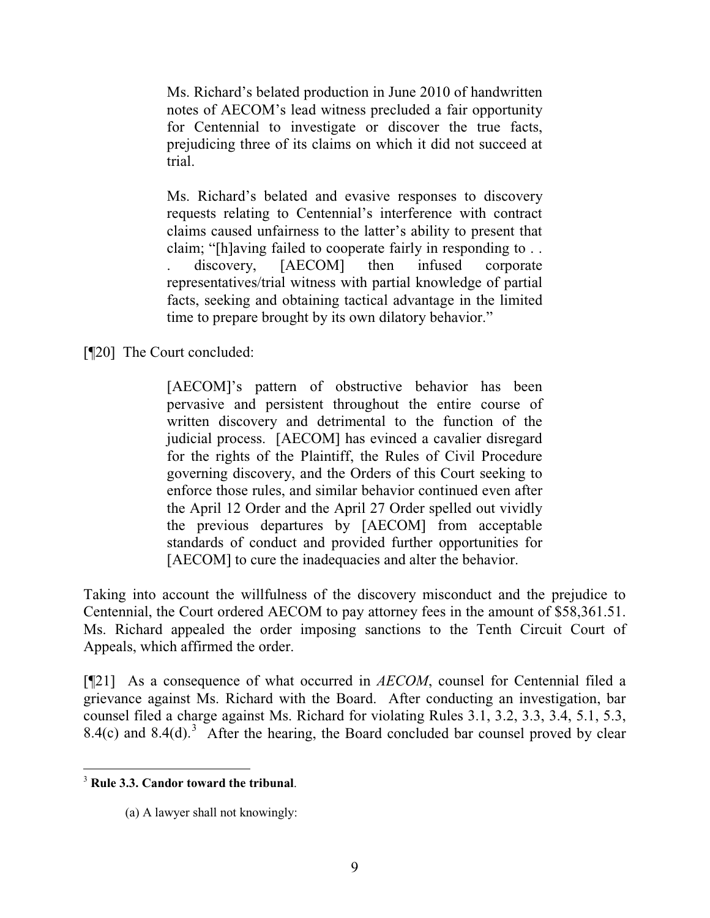Ms. Richard's belated production in June 2010 of handwritten notes of AECOM's lead witness precluded a fair opportunity for Centennial to investigate or discover the true facts, prejudicing three of its claims on which it did not succeed at trial.

Ms. Richard's belated and evasive responses to discovery requests relating to Centennial's interference with contract claims caused unfairness to the latter's ability to present that claim; "[h]aving failed to cooperate fairly in responding to . . . discovery, [AECOM] then infused corporate representatives/trial witness with partial knowledge of partial facts, seeking and obtaining tactical advantage in the limited time to prepare brought by its own dilatory behavior."

[¶20] The Court concluded:

[AECOM]'s pattern of obstructive behavior has been pervasive and persistent throughout the entire course of written discovery and detrimental to the function of the judicial process. [AECOM] has evinced a cavalier disregard for the rights of the Plaintiff, the Rules of Civil Procedure governing discovery, and the Orders of this Court seeking to enforce those rules, and similar behavior continued even after the April 12 Order and the April 27 Order spelled out vividly the previous departures by [AECOM] from acceptable standards of conduct and provided further opportunities for [AECOM] to cure the inadequacies and alter the behavior.

Taking into account the willfulness of the discovery misconduct and the prejudice to Centennial, the Court ordered AECOM to pay attorney fees in the amount of \$58,361.51. Ms. Richard appealed the order imposing sanctions to the Tenth Circuit Court of Appeals, which affirmed the order.

[¶21] As a consequence of what occurred in *AECOM*, counsel for Centennial filed a grievance against Ms. Richard with the Board. After conducting an investigation, bar counsel filed a charge against Ms. Richard for violating Rules 3.1, 3.2, 3.3, 3.4, 5.1, 5.3, 8.4(c) and 8.4(d).<sup>[3](#page-8-0)</sup> After the hearing, the Board concluded bar counsel proved by clear

<span id="page-8-0"></span><sup>3</sup> **Rule 3.3. Candor toward the tribunal**. 

<sup>(</sup>a) A lawyer shall not knowingly: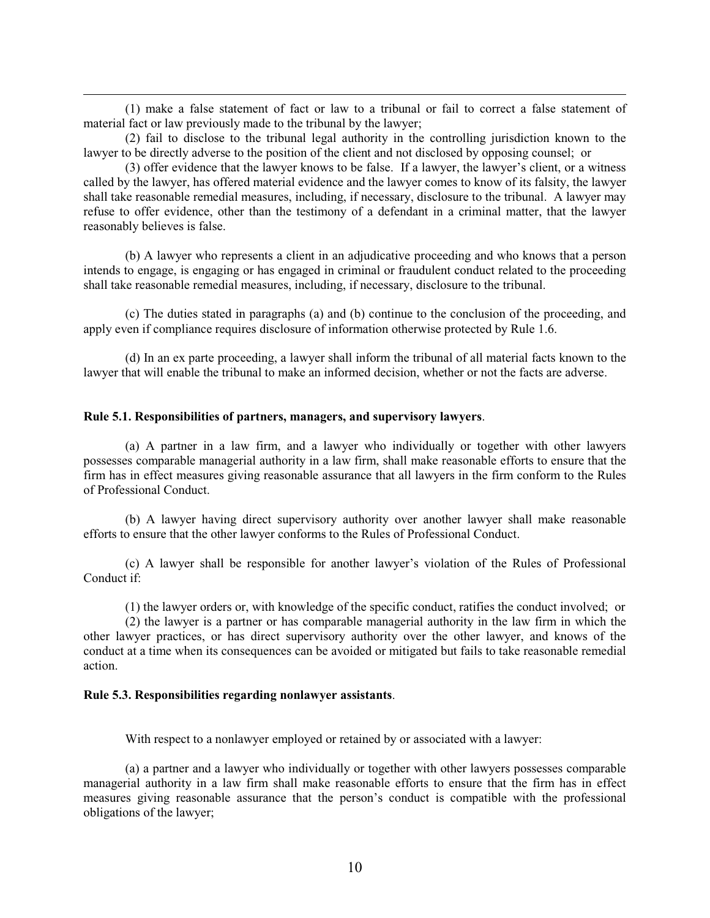(1) make a false statement of fact or law to a tribunal or fail to correct a false statement of material fact or law previously made to the tribunal by the lawyer;

(2) fail to disclose to the tribunal legal authority in the controlling jurisdiction known to the lawyer to be directly adverse to the position of the client and not disclosed by opposing counsel; or

(3) offer evidence that the lawyer knows to be false. If a lawyer, the lawyer's client, or a witness called by the lawyer, has offered material evidence and the lawyer comes to know of its falsity, the lawyer shall take reasonable remedial measures, including, if necessary, disclosure to the tribunal. A lawyer may refuse to offer evidence, other than the testimony of a defendant in a criminal matter, that the lawyer reasonably believes is false.

(b) A lawyer who represents a client in an adjudicative proceeding and who knows that a person intends to engage, is engaging or has engaged in criminal or fraudulent conduct related to the proceeding shall take reasonable remedial measures, including, if necessary, disclosure to the tribunal.

(c) The duties stated in paragraphs (a) and (b) continue to the conclusion of the proceeding, and apply even if compliance requires disclosure of information otherwise protected by Rule 1.6.

(d) In an ex parte proceeding, a lawyer shall inform the tribunal of all material facts known to the lawyer that will enable the tribunal to make an informed decision, whether or not the facts are adverse.

#### **Rule 5.1. Responsibilities of partners, managers, and supervisory lawyers**.

(a) A partner in a law firm, and a lawyer who individually or together with other lawyers possesses comparable managerial authority in a law firm, shall make reasonable efforts to ensure that the firm has in effect measures giving reasonable assurance that all lawyers in the firm conform to the Rules of Professional Conduct.

(b) A lawyer having direct supervisory authority over another lawyer shall make reasonable efforts to ensure that the other lawyer conforms to the Rules of Professional Conduct.

(c) A lawyer shall be responsible for another lawyer's violation of the Rules of Professional Conduct if:

(1) the lawyer orders or, with knowledge of the specific conduct, ratifies the conduct involved; or

(2) the lawyer is a partner or has comparable managerial authority in the law firm in which the other lawyer practices, or has direct supervisory authority over the other lawyer, and knows of the conduct at a time when its consequences can be avoided or mitigated but fails to take reasonable remedial action.

#### **Rule 5.3. Responsibilities regarding nonlawyer assistants**.

With respect to a nonlawyer employed or retained by or associated with a lawyer:

(a) a partner and a lawyer who individually or together with other lawyers possesses comparable managerial authority in a law firm shall make reasonable efforts to ensure that the firm has in effect measures giving reasonable assurance that the person's conduct is compatible with the professional obligations of the lawyer;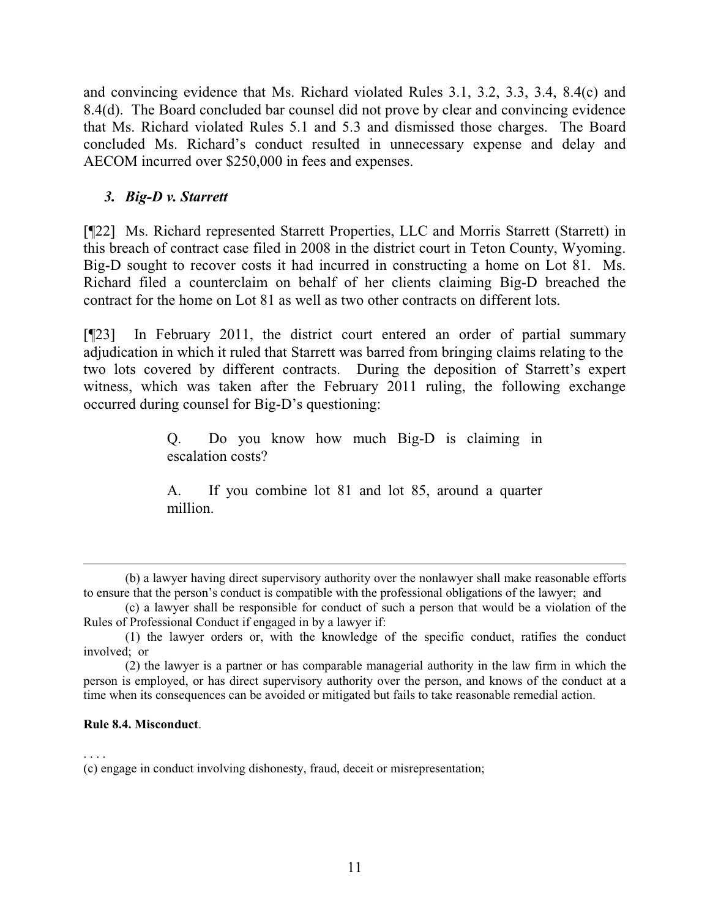and convincing evidence that Ms. Richard violated Rules 3.1, 3.2, 3.3, 3.4, 8.4(c) and 8.4(d). The Board concluded bar counsel did not prove by clear and convincing evidence that Ms. Richard violated Rules 5.1 and 5.3 and dismissed those charges. The Board concluded Ms. Richard's conduct resulted in unnecessary expense and delay and AECOM incurred over \$250,000 in fees and expenses.

# *3. Big-D v. Starrett*

[¶22] Ms. Richard represented Starrett Properties, LLC and Morris Starrett (Starrett) in this breach of contract case filed in 2008 in the district court in Teton County, Wyoming. Big-D sought to recover costs it had incurred in constructing a home on Lot 81. Ms. Richard filed a counterclaim on behalf of her clients claiming Big-D breached the contract for the home on Lot 81 as well as two other contracts on different lots.

[¶23] In February 2011, the district court entered an order of partial summary adjudication in which it ruled that Starrett was barred from bringing claims relating to the two lots covered by different contracts. During the deposition of Starrett's expert witness, which was taken after the February 2011 ruling, the following exchange occurred during counsel for Big-D's questioning:

> Q. Do you know how much Big-D is claiming in escalation costs?

> A. If you combine lot 81 and lot 85, around a quarter million.

### **Rule 8.4. Misconduct**.

. . . .

<sup>(</sup>b) a lawyer having direct supervisory authority over the nonlawyer shall make reasonable efforts to ensure that the person's conduct is compatible with the professional obligations of the lawyer; and 

<sup>(</sup>c) a lawyer shall be responsible for conduct of such a person that would be a violation of the Rules of Professional Conduct if engaged in by a lawyer if:

<sup>(1)</sup> the lawyer orders or, with the knowledge of the specific conduct, ratifies the conduct involved; or

<sup>(2)</sup> the lawyer is a partner or has comparable managerial authority in the law firm in which the person is employed, or has direct supervisory authority over the person, and knows of the conduct at a time when its consequences can be avoided or mitigated but fails to take reasonable remedial action.

<sup>(</sup>c) engage in conduct involving dishonesty, fraud, deceit or misrepresentation;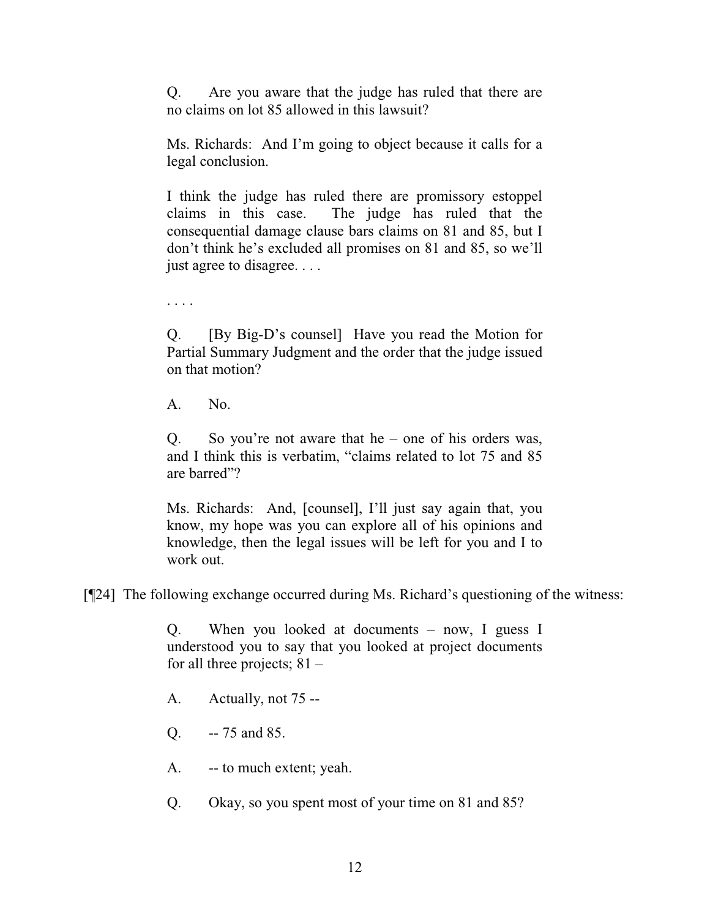Q. Are you aware that the judge has ruled that there are no claims on lot 85 allowed in this lawsuit?

Ms. Richards: And I'm going to object because it calls for a legal conclusion.

I think the judge has ruled there are promissory estoppel claims in this case. The judge has ruled that the consequential damage clause bars claims on 81 and 85, but I don't think he's excluded all promises on 81 and 85, so we'll just agree to disagree. . . .

. . . .

Q. [By Big-D's counsel] Have you read the Motion for Partial Summary Judgment and the order that the judge issued on that motion?

A. No.

Q. So you're not aware that he – one of his orders was, and I think this is verbatim, "claims related to lot 75 and 85 are barred"?

Ms. Richards: And, [counsel], I'll just say again that, you know, my hope was you can explore all of his opinions and knowledge, then the legal issues will be left for you and I to work out.

[¶24] The following exchange occurred during Ms. Richard's questioning of the witness:

Q. When you looked at documents – now, I guess I understood you to say that you looked at project documents for all three projects; 81 –

- A. Actually, not 75 --
- Q. -- 75 and 85.
- A. -- to much extent; yeah.
- Q. Okay, so you spent most of your time on 81 and 85?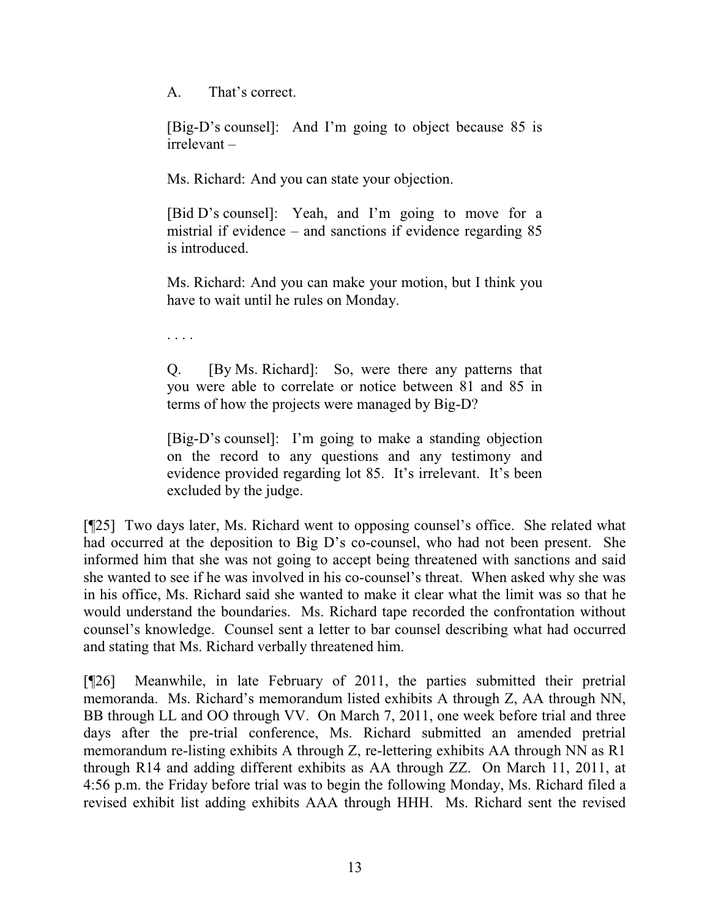A. That's correct.

[Big-D's counsel]: And I'm going to object because 85 is irrelevant –

Ms. Richard: And you can state your objection.

[Bid D's counsel]: Yeah, and I'm going to move for a mistrial if evidence – and sanctions if evidence regarding 85 is introduced.

Ms. Richard: And you can make your motion, but I think you have to wait until he rules on Monday.

. . . .

Q. [By Ms. Richard]: So, were there any patterns that you were able to correlate or notice between 81 and 85 in terms of how the projects were managed by Big-D?

[Big-D's counsel]: I'm going to make a standing objection on the record to any questions and any testimony and evidence provided regarding lot 85. It's irrelevant. It's been excluded by the judge.

[¶25] Two days later, Ms. Richard went to opposing counsel's office. She related what had occurred at the deposition to Big D's co-counsel, who had not been present. She informed him that she was not going to accept being threatened with sanctions and said she wanted to see if he was involved in his co-counsel's threat. When asked why she was in his office, Ms. Richard said she wanted to make it clear what the limit was so that he would understand the boundaries. Ms. Richard tape recorded the confrontation without counsel's knowledge. Counsel sent a letter to bar counsel describing what had occurred and stating that Ms. Richard verbally threatened him.

[¶26] Meanwhile, in late February of 2011, the parties submitted their pretrial memoranda. Ms. Richard's memorandum listed exhibits A through Z, AA through NN, BB through LL and OO through VV. On March 7, 2011, one week before trial and three days after the pre-trial conference, Ms. Richard submitted an amended pretrial memorandum re-listing exhibits A through Z, re-lettering exhibits AA through NN as R1 through R14 and adding different exhibits as AA through ZZ. On March 11, 2011, at 4:56 p.m. the Friday before trial was to begin the following Monday, Ms. Richard filed a revised exhibit list adding exhibits AAA through HHH. Ms. Richard sent the revised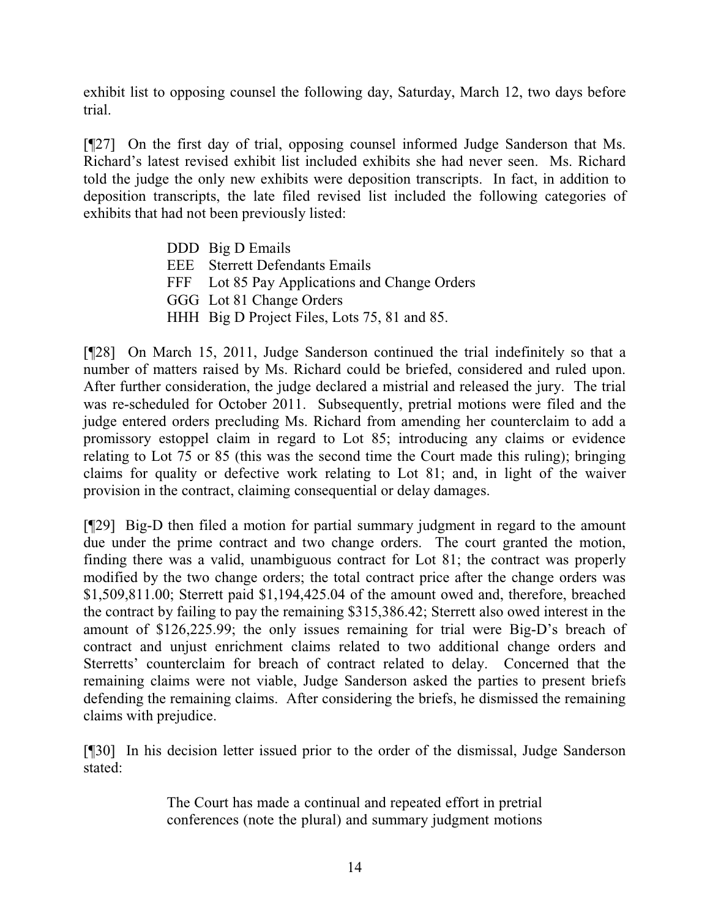exhibit list to opposing counsel the following day, Saturday, March 12, two days before trial.

[¶27] On the first day of trial, opposing counsel informed Judge Sanderson that Ms. Richard's latest revised exhibit list included exhibits she had never seen. Ms. Richard told the judge the only new exhibits were deposition transcripts. In fact, in addition to deposition transcripts, the late filed revised list included the following categories of exhibits that had not been previously listed:

| DDD Big D Emails                              |
|-----------------------------------------------|
| <b>EEE</b> Sterrett Defendants Emails         |
| FFF Lot 85 Pay Applications and Change Orders |
| GGG Lot 81 Change Orders                      |
| HHH Big D Project Files, Lots 75, 81 and 85.  |
|                                               |

[¶28] On March 15, 2011, Judge Sanderson continued the trial indefinitely so that a number of matters raised by Ms. Richard could be briefed, considered and ruled upon. After further consideration, the judge declared a mistrial and released the jury. The trial was re-scheduled for October 2011. Subsequently, pretrial motions were filed and the judge entered orders precluding Ms. Richard from amending her counterclaim to add a promissory estoppel claim in regard to Lot 85; introducing any claims or evidence relating to Lot 75 or 85 (this was the second time the Court made this ruling); bringing claims for quality or defective work relating to Lot 81; and, in light of the waiver provision in the contract, claiming consequential or delay damages.

[¶29] Big-D then filed a motion for partial summary judgment in regard to the amount due under the prime contract and two change orders. The court granted the motion, finding there was a valid, unambiguous contract for Lot 81; the contract was properly modified by the two change orders; the total contract price after the change orders was \$1,509,811.00; Sterrett paid \$1,194,425.04 of the amount owed and, therefore, breached the contract by failing to pay the remaining \$315,386.42; Sterrett also owed interest in the amount of \$126,225.99; the only issues remaining for trial were Big-D's breach of contract and unjust enrichment claims related to two additional change orders and Sterretts' counterclaim for breach of contract related to delay. Concerned that the remaining claims were not viable, Judge Sanderson asked the parties to present briefs defending the remaining claims. After considering the briefs, he dismissed the remaining claims with prejudice.

[¶30] In his decision letter issued prior to the order of the dismissal, Judge Sanderson stated:

> The Court has made a continual and repeated effort in pretrial conferences (note the plural) and summary judgment motions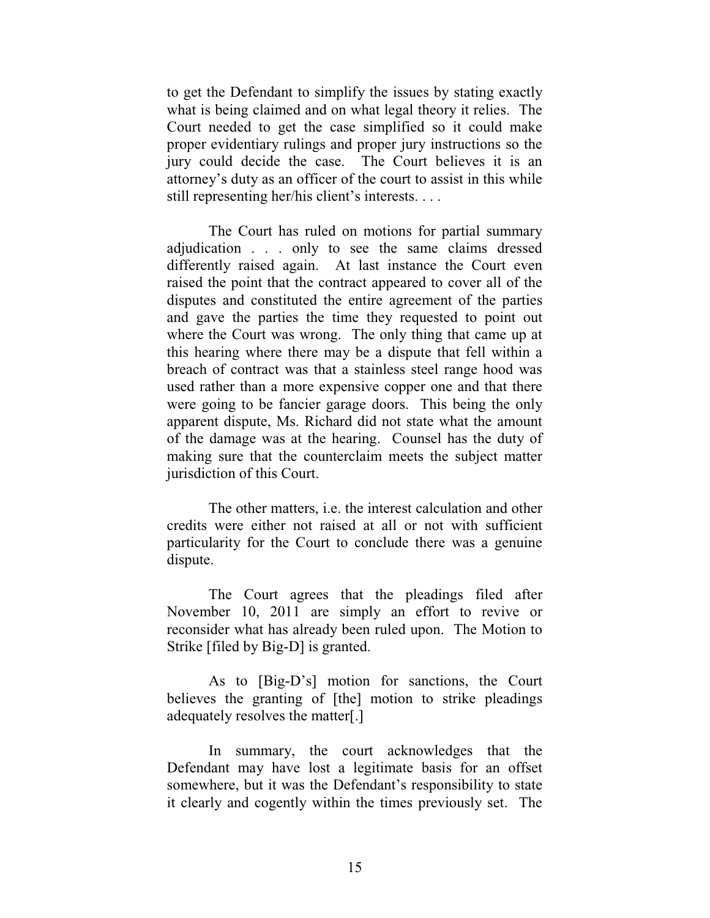to get the Defendant to simplify the issues by stating exactly what is being claimed and on what legal theory it relies. The Court needed to get the case simplified so it could make proper evidentiary rulings and proper jury instructions so the jury could decide the case. The Court believes it is an attorney's duty as an officer of the court to assist in this while still representing her/his client's interests. . . .

The Court has ruled on motions for partial summary adjudication . . . only to see the same claims dressed differently raised again. At last instance the Court even raised the point that the contract appeared to cover all of the disputes and constituted the entire agreement of the parties and gave the parties the time they requested to point out where the Court was wrong. The only thing that came up at this hearing where there may be a dispute that fell within a breach of contract was that a stainless steel range hood was used rather than a more expensive copper one and that there were going to be fancier garage doors. This being the only apparent dispute, Ms. Richard did not state what the amount of the damage was at the hearing. Counsel has the duty of making sure that the counterclaim meets the subject matter jurisdiction of this Court.

The other matters, i.e. the interest calculation and other credits were either not raised at all or not with sufficient particularity for the Court to conclude there was a genuine dispute.

The Court agrees that the pleadings filed after November 10, 2011 are simply an effort to revive or reconsider what has already been ruled upon. The Motion to Strike [filed by Big-D] is granted.

As to [Big-D's] motion for sanctions, the Court believes the granting of [the] motion to strike pleadings adequately resolves the matter[.]

In summary, the court acknowledges that the Defendant may have lost a legitimate basis for an offset somewhere, but it was the Defendant's responsibility to state it clearly and cogently within the times previously set. The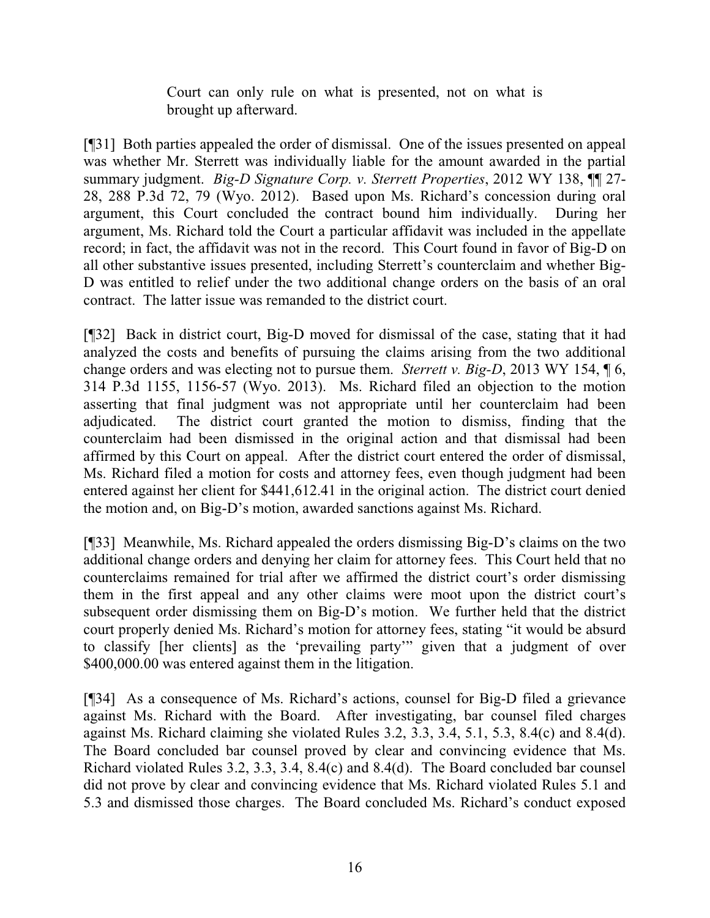Court can only rule on what is presented, not on what is brought up afterward.

[¶31] Both parties appealed the order of dismissal. One of the issues presented on appeal was whether Mr. Sterrett was individually liable for the amount awarded in the partial summary judgment. *Big-D Signature Corp. v. Sterrett Properties*, 2012 WY 138, ¶¶ 27- 28, 288 P.3d 72, 79 (Wyo. 2012). Based upon Ms. Richard's concession during oral argument, this Court concluded the contract bound him individually. During her argument, Ms. Richard told the Court a particular affidavit was included in the appellate record; in fact, the affidavit was not in the record. This Court found in favor of Big-D on all other substantive issues presented, including Sterrett's counterclaim and whether Big-D was entitled to relief under the two additional change orders on the basis of an oral contract. The latter issue was remanded to the district court.

[¶32] Back in district court, Big-D moved for dismissal of the case, stating that it had analyzed the costs and benefits of pursuing the claims arising from the two additional change orders and was electing not to pursue them. *Sterrett v. Big-D*, 2013 WY 154, ¶ 6, 314 P.3d 1155, 1156-57 (Wyo. 2013). Ms. Richard filed an objection to the motion asserting that final judgment was not appropriate until her counterclaim had been adjudicated. The district court granted the motion to dismiss, finding that the counterclaim had been dismissed in the original action and that dismissal had been affirmed by this Court on appeal. After the district court entered the order of dismissal, Ms. Richard filed a motion for costs and attorney fees, even though judgment had been entered against her client for \$441,612.41 in the original action. The district court denied the motion and, on Big-D's motion, awarded sanctions against Ms. Richard.

[¶33] Meanwhile, Ms. Richard appealed the orders dismissing Big-D's claims on the two additional change orders and denying her claim for attorney fees. This Court held that no counterclaims remained for trial after we affirmed the district court's order dismissing them in the first appeal and any other claims were moot upon the district court's subsequent order dismissing them on Big-D's motion. We further held that the district court properly denied Ms. Richard's motion for attorney fees, stating "it would be absurd to classify [her clients] as the 'prevailing party'" given that a judgment of over \$400,000.00 was entered against them in the litigation.

[¶34] As a consequence of Ms. Richard's actions, counsel for Big-D filed a grievance against Ms. Richard with the Board. After investigating, bar counsel filed charges against Ms. Richard claiming she violated Rules 3.2, 3.3, 3.4, 5.1, 5.3, 8.4(c) and 8.4(d). The Board concluded bar counsel proved by clear and convincing evidence that Ms. Richard violated Rules 3.2, 3.3, 3.4, 8.4(c) and 8.4(d). The Board concluded bar counsel did not prove by clear and convincing evidence that Ms. Richard violated Rules 5.1 and 5.3 and dismissed those charges. The Board concluded Ms. Richard's conduct exposed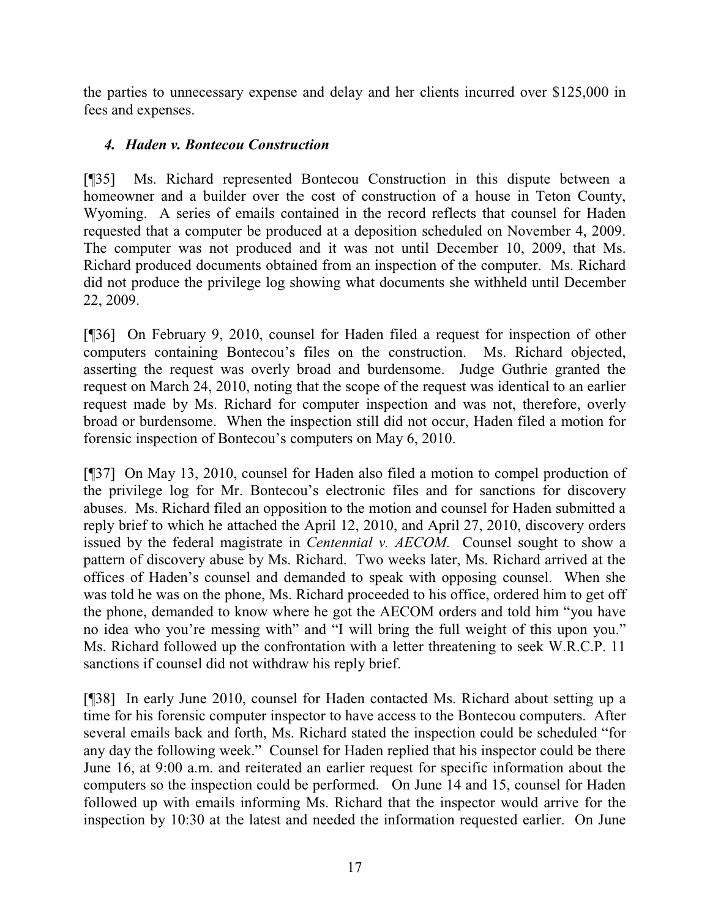the parties to unnecessary expense and delay and her clients incurred over \$125,000 in fees and expenses.

# *4. Haden v. Bontecou Construction*

[¶35] Ms. Richard represented Bontecou Construction in this dispute between a homeowner and a builder over the cost of construction of a house in Teton County, Wyoming. A series of emails contained in the record reflects that counsel for Haden requested that a computer be produced at a deposition scheduled on November 4, 2009. The computer was not produced and it was not until December 10, 2009, that Ms. Richard produced documents obtained from an inspection of the computer. Ms. Richard did not produce the privilege log showing what documents she withheld until December 22, 2009.

[¶36] On February 9, 2010, counsel for Haden filed a request for inspection of other computers containing Bontecou's files on the construction. Ms. Richard objected, asserting the request was overly broad and burdensome. Judge Guthrie granted the request on March 24, 2010, noting that the scope of the request was identical to an earlier request made by Ms. Richard for computer inspection and was not, therefore, overly broad or burdensome. When the inspection still did not occur, Haden filed a motion for forensic inspection of Bontecou's computers on May 6, 2010.

[¶37] On May 13, 2010, counsel for Haden also filed a motion to compel production of the privilege log for Mr. Bontecou's electronic files and for sanctions for discovery abuses. Ms. Richard filed an opposition to the motion and counsel for Haden submitted a reply brief to which he attached the April 12, 2010, and April 27, 2010, discovery orders issued by the federal magistrate in *Centennial v. AECOM.* Counsel sought to show a pattern of discovery abuse by Ms. Richard. Two weeks later, Ms. Richard arrived at the offices of Haden's counsel and demanded to speak with opposing counsel. When she was told he was on the phone, Ms. Richard proceeded to his office, ordered him to get off the phone, demanded to know where he got the AECOM orders and told him "you have no idea who you're messing with" and "I will bring the full weight of this upon you." Ms. Richard followed up the confrontation with a letter threatening to seek W.R.C.P. 11 sanctions if counsel did not withdraw his reply brief.

[¶38] In early June 2010, counsel for Haden contacted Ms. Richard about setting up a time for his forensic computer inspector to have access to the Bontecou computers. After several emails back and forth, Ms. Richard stated the inspection could be scheduled "for any day the following week." Counsel for Haden replied that his inspector could be there June 16, at 9:00 a.m. and reiterated an earlier request for specific information about the computers so the inspection could be performed. On June 14 and 15, counsel for Haden followed up with emails informing Ms. Richard that the inspector would arrive for the inspection by 10:30 at the latest and needed the information requested earlier. On June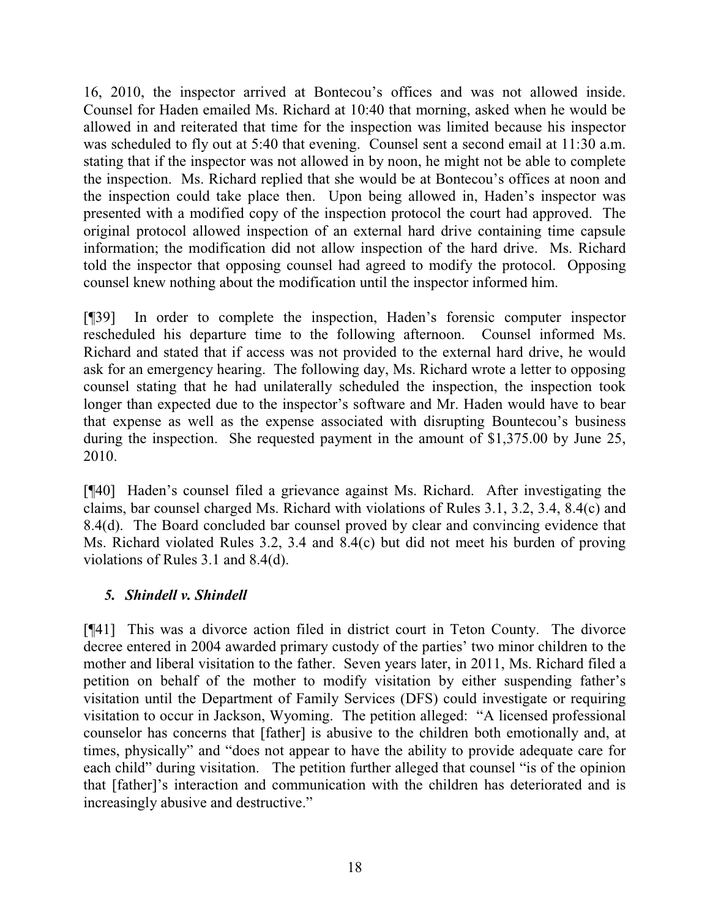16, 2010, the inspector arrived at Bontecou's offices and was not allowed inside. Counsel for Haden emailed Ms. Richard at 10:40 that morning, asked when he would be allowed in and reiterated that time for the inspection was limited because his inspector was scheduled to fly out at 5:40 that evening. Counsel sent a second email at 11:30 a.m. stating that if the inspector was not allowed in by noon, he might not be able to complete the inspection. Ms. Richard replied that she would be at Bontecou's offices at noon and the inspection could take place then. Upon being allowed in, Haden's inspector was presented with a modified copy of the inspection protocol the court had approved. The original protocol allowed inspection of an external hard drive containing time capsule information; the modification did not allow inspection of the hard drive. Ms. Richard told the inspector that opposing counsel had agreed to modify the protocol. Opposing counsel knew nothing about the modification until the inspector informed him.

[¶39] In order to complete the inspection, Haden's forensic computer inspector rescheduled his departure time to the following afternoon. Counsel informed Ms. Richard and stated that if access was not provided to the external hard drive, he would ask for an emergency hearing. The following day, Ms. Richard wrote a letter to opposing counsel stating that he had unilaterally scheduled the inspection, the inspection took longer than expected due to the inspector's software and Mr. Haden would have to bear that expense as well as the expense associated with disrupting Bountecou's business during the inspection. She requested payment in the amount of \$1,375.00 by June 25, 2010.

[¶40] Haden's counsel filed a grievance against Ms. Richard. After investigating the claims, bar counsel charged Ms. Richard with violations of Rules 3.1, 3.2, 3.4, 8.4(c) and 8.4(d). The Board concluded bar counsel proved by clear and convincing evidence that Ms. Richard violated Rules 3.2, 3.4 and 8.4(c) but did not meet his burden of proving violations of Rules 3.1 and 8.4(d).

# *5. Shindell v. Shindell*

[¶41] This was a divorce action filed in district court in Teton County. The divorce decree entered in 2004 awarded primary custody of the parties' two minor children to the mother and liberal visitation to the father. Seven years later, in 2011, Ms. Richard filed a petition on behalf of the mother to modify visitation by either suspending father's visitation until the Department of Family Services (DFS) could investigate or requiring visitation to occur in Jackson, Wyoming. The petition alleged: "A licensed professional counselor has concerns that [father] is abusive to the children both emotionally and, at times, physically" and "does not appear to have the ability to provide adequate care for each child" during visitation. The petition further alleged that counsel "is of the opinion that [father]'s interaction and communication with the children has deteriorated and is increasingly abusive and destructive."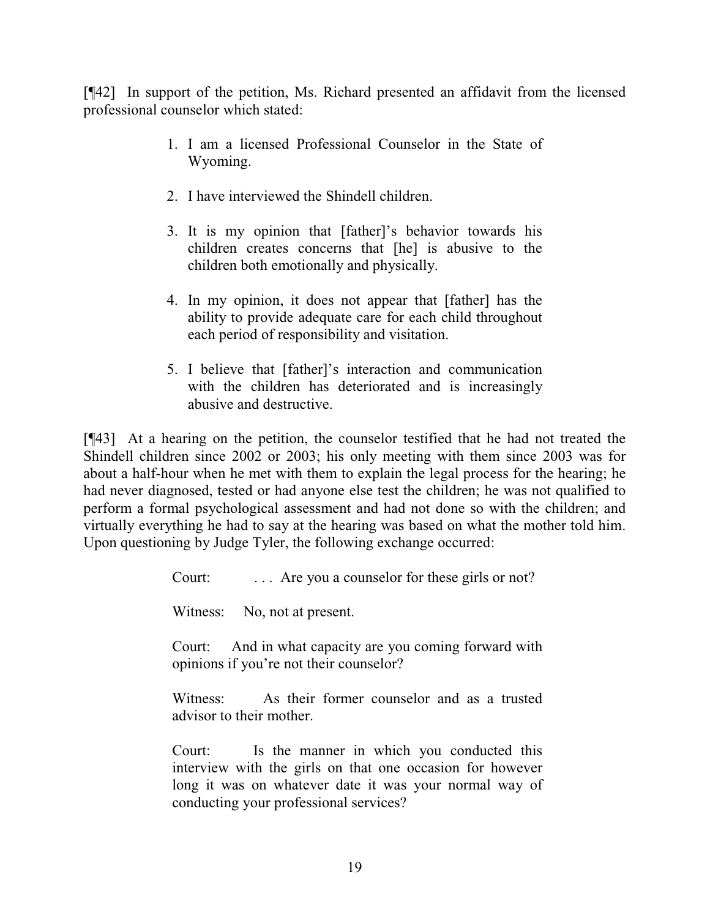[¶42] In support of the petition, Ms. Richard presented an affidavit from the licensed professional counselor which stated:

- 1. I am a licensed Professional Counselor in the State of Wyoming.
- 2. I have interviewed the Shindell children.
- 3. It is my opinion that [father]'s behavior towards his children creates concerns that [he] is abusive to the children both emotionally and physically.
- 4. In my opinion, it does not appear that [father] has the ability to provide adequate care for each child throughout each period of responsibility and visitation.
- 5. I believe that [father]'s interaction and communication with the children has deteriorated and is increasingly abusive and destructive.

[¶43] At a hearing on the petition, the counselor testified that he had not treated the Shindell children since 2002 or 2003; his only meeting with them since 2003 was for about a half-hour when he met with them to explain the legal process for the hearing; he had never diagnosed, tested or had anyone else test the children; he was not qualified to perform a formal psychological assessment and had not done so with the children; and virtually everything he had to say at the hearing was based on what the mother told him. Upon questioning by Judge Tyler, the following exchange occurred:

Court: ... Are you a counselor for these girls or not?

Witness: No, not at present.

Court: And in what capacity are you coming forward with opinions if you're not their counselor?

Witness: As their former counselor and as a trusted advisor to their mother.

Court: Is the manner in which you conducted this interview with the girls on that one occasion for however long it was on whatever date it was your normal way of conducting your professional services?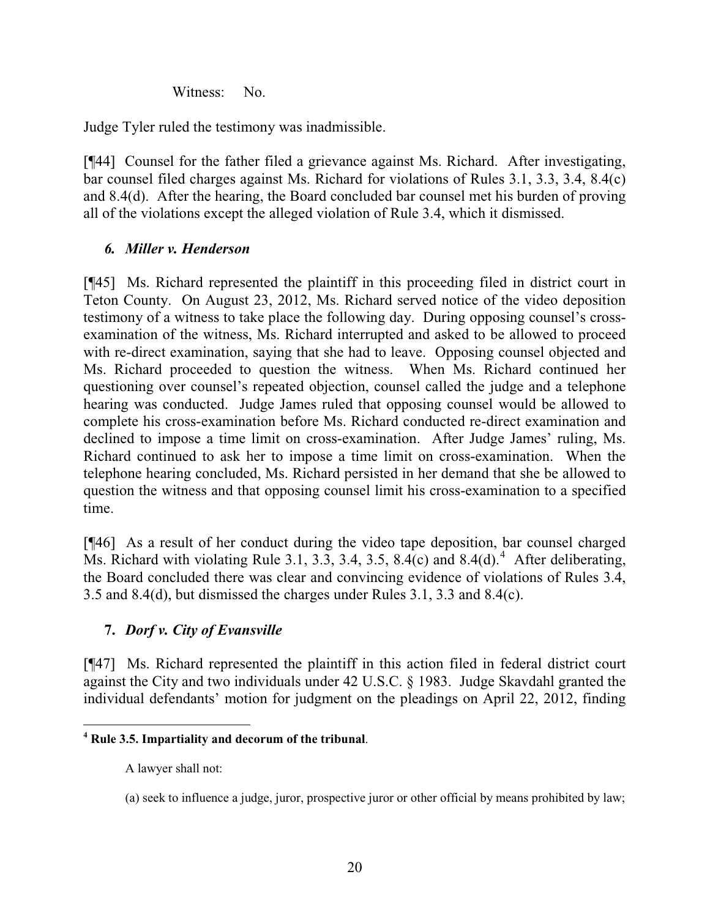Witness: No.

Judge Tyler ruled the testimony was inadmissible.

[¶44] Counsel for the father filed a grievance against Ms. Richard. After investigating, bar counsel filed charges against Ms. Richard for violations of Rules 3.1, 3.3, 3.4, 8.4(c) and 8.4(d). After the hearing, the Board concluded bar counsel met his burden of proving all of the violations except the alleged violation of Rule 3.4, which it dismissed.

# *6. Miller v. Henderson*

[¶45] Ms. Richard represented the plaintiff in this proceeding filed in district court in Teton County. On August 23, 2012, Ms. Richard served notice of the video deposition testimony of a witness to take place the following day. During opposing counsel's crossexamination of the witness, Ms. Richard interrupted and asked to be allowed to proceed with re-direct examination, saying that she had to leave. Opposing counsel objected and Ms. Richard proceeded to question the witness. When Ms. Richard continued her questioning over counsel's repeated objection, counsel called the judge and a telephone hearing was conducted. Judge James ruled that opposing counsel would be allowed to complete his cross-examination before Ms. Richard conducted re-direct examination and declined to impose a time limit on cross-examination. After Judge James' ruling, Ms. Richard continued to ask her to impose a time limit on cross-examination. When the telephone hearing concluded, Ms. Richard persisted in her demand that she be allowed to question the witness and that opposing counsel limit his cross-examination to a specified time.

[¶46] As a result of her conduct during the video tape deposition, bar counsel charged Ms. Richard with violating Rule 3.1, 3.3, 3.[4](#page-19-0), 3.5, 8.4(c) and 8.4(d).<sup>4</sup> After deliberating, the Board concluded there was clear and convincing evidence of violations of Rules 3.4, 3.5 and 8.4(d), but dismissed the charges under Rules 3.1, 3.3 and 8.4(c).

# **7.** *Dorf v. City of Evansville*

[¶47] Ms. Richard represented the plaintiff in this action filed in federal district court against the City and two individuals under 42 U.S.C. § 1983. Judge Skavdahl granted the individual defendants' motion for judgment on the pleadings on April 22, 2012, finding

<span id="page-19-0"></span>**<sup>4</sup> Rule 3.5. Impartiality and decorum of the tribunal**. 

A lawyer shall not:

<sup>(</sup>a) seek to influence a judge, juror, prospective juror or other official by means prohibited by law;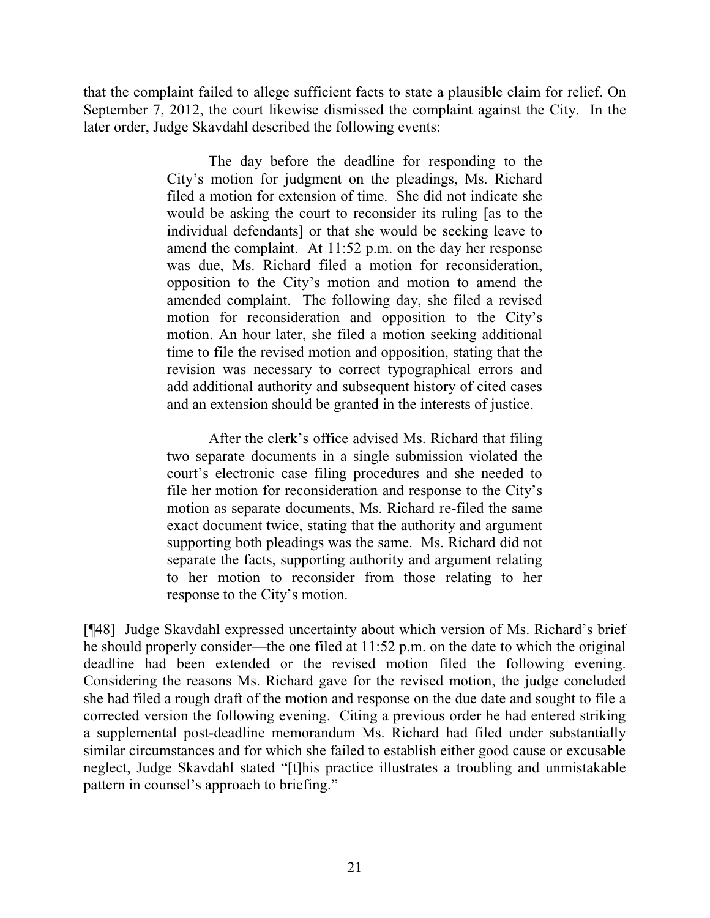that the complaint failed to allege sufficient facts to state a plausible claim for relief. On September 7, 2012, the court likewise dismissed the complaint against the City. In the later order, Judge Skavdahl described the following events:

> The day before the deadline for responding to the City's motion for judgment on the pleadings, Ms. Richard filed a motion for extension of time. She did not indicate she would be asking the court to reconsider its ruling [as to the individual defendants] or that she would be seeking leave to amend the complaint. At 11:52 p.m. on the day her response was due, Ms. Richard filed a motion for reconsideration, opposition to the City's motion and motion to amend the amended complaint. The following day, she filed a revised motion for reconsideration and opposition to the City's motion. An hour later, she filed a motion seeking additional time to file the revised motion and opposition, stating that the revision was necessary to correct typographical errors and add additional authority and subsequent history of cited cases and an extension should be granted in the interests of justice.

> After the clerk's office advised Ms. Richard that filing two separate documents in a single submission violated the court's electronic case filing procedures and she needed to file her motion for reconsideration and response to the City's motion as separate documents, Ms. Richard re-filed the same exact document twice, stating that the authority and argument supporting both pleadings was the same. Ms. Richard did not separate the facts, supporting authority and argument relating to her motion to reconsider from those relating to her response to the City's motion.

[¶48] Judge Skavdahl expressed uncertainty about which version of Ms. Richard's brief he should properly consider—the one filed at 11:52 p.m. on the date to which the original deadline had been extended or the revised motion filed the following evening. Considering the reasons Ms. Richard gave for the revised motion, the judge concluded she had filed a rough draft of the motion and response on the due date and sought to file a corrected version the following evening. Citing a previous order he had entered striking a supplemental post-deadline memorandum Ms. Richard had filed under substantially similar circumstances and for which she failed to establish either good cause or excusable neglect, Judge Skavdahl stated "[t]his practice illustrates a troubling and unmistakable pattern in counsel's approach to briefing."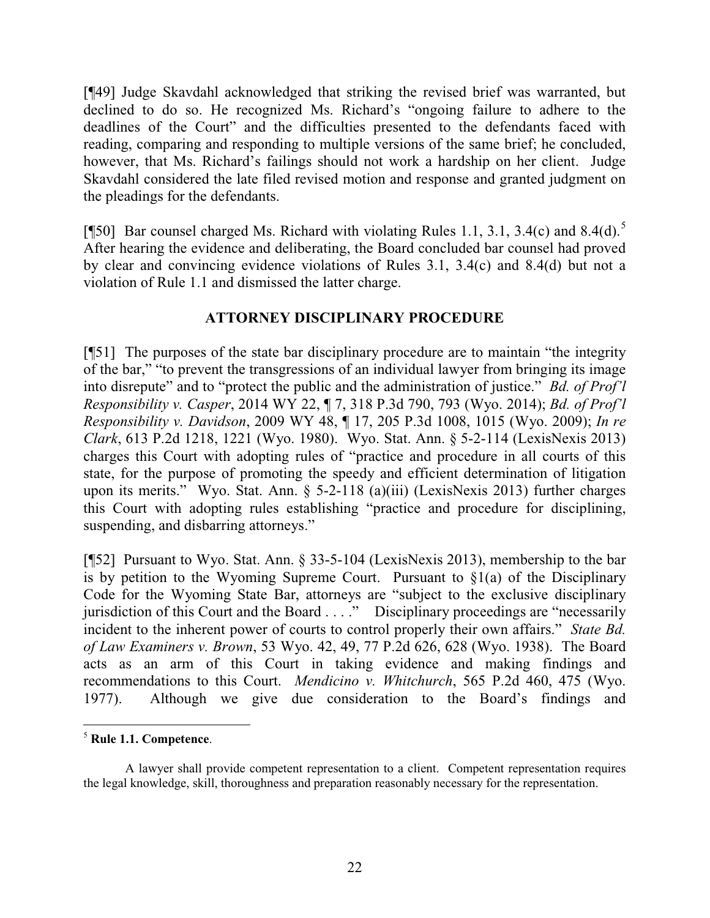[¶49] Judge Skavdahl acknowledged that striking the revised brief was warranted, but declined to do so. He recognized Ms. Richard's "ongoing failure to adhere to the deadlines of the Court" and the difficulties presented to the defendants faced with reading, comparing and responding to multiple versions of the same brief; he concluded, however, that Ms. Richard's failings should not work a hardship on her client. Judge Skavdahl considered the late filed revised motion and response and granted judgment on the pleadings for the defendants.

[¶[5](#page-21-0)0] Bar counsel charged Ms. Richard with violating Rules 1.1, 3.1, 3.4(c) and 8.4(d).<sup>5</sup> After hearing the evidence and deliberating, the Board concluded bar counsel had proved by clear and convincing evidence violations of Rules 3.1, 3.4(c) and 8.4(d) but not a violation of Rule 1.1 and dismissed the latter charge.

# **ATTORNEY DISCIPLINARY PROCEDURE**

[¶51] The purposes of the state bar disciplinary procedure are to maintain "the integrity of the bar," "to prevent the transgressions of an individual lawyer from bringing its image into disrepute" and to "protect the public and the administration of justice." *Bd. of Prof'l Responsibility v. Casper*, 2014 WY 22, ¶ 7, 318 P.3d 790, 793 (Wyo. 2014); *Bd. of Prof'l Responsibility v. Davidson*, 2009 WY 48, ¶ 17, 205 P.3d 1008, 1015 (Wyo. 2009); *In re Clark*, 613 P.2d 1218, 1221 (Wyo. 1980). Wyo. Stat. Ann. § 5-2-114 (LexisNexis 2013) charges this Court with adopting rules of "practice and procedure in all courts of this state, for the purpose of promoting the speedy and efficient determination of litigation upon its merits." Wyo. Stat. Ann. § 5-2-118 (a)(iii) (LexisNexis 2013) further charges this Court with adopting rules establishing "practice and procedure for disciplining, suspending, and disbarring attorneys."

[¶52] Pursuant to Wyo. Stat. Ann. § 33-5-104 (LexisNexis 2013), membership to the bar is by petition to the Wyoming Supreme Court. Pursuant to  $\S$ 1(a) of the Disciplinary Code for the Wyoming State Bar, attorneys are "subject to the exclusive disciplinary jurisdiction of this Court and the Board . . . ." Disciplinary proceedings are "necessarily incident to the inherent power of courts to control properly their own affairs." *State Bd. of Law Examiners v. Brown*, 53 Wyo. 42, 49, 77 P.2d 626, 628 (Wyo. 1938). The Board acts as an arm of this Court in taking evidence and making findings and recommendations to this Court. *Mendicino v. Whitchurch*, 565 P.2d 460, 475 (Wyo. 1977). Although we give due consideration to the Board's findings and

A lawyer shall provide competent representation to a client. Competent representation requires the legal knowledge, skill, thoroughness and preparation reasonably necessary for the representation.

<span id="page-21-0"></span><sup>5</sup> **Rule 1.1. Competence**.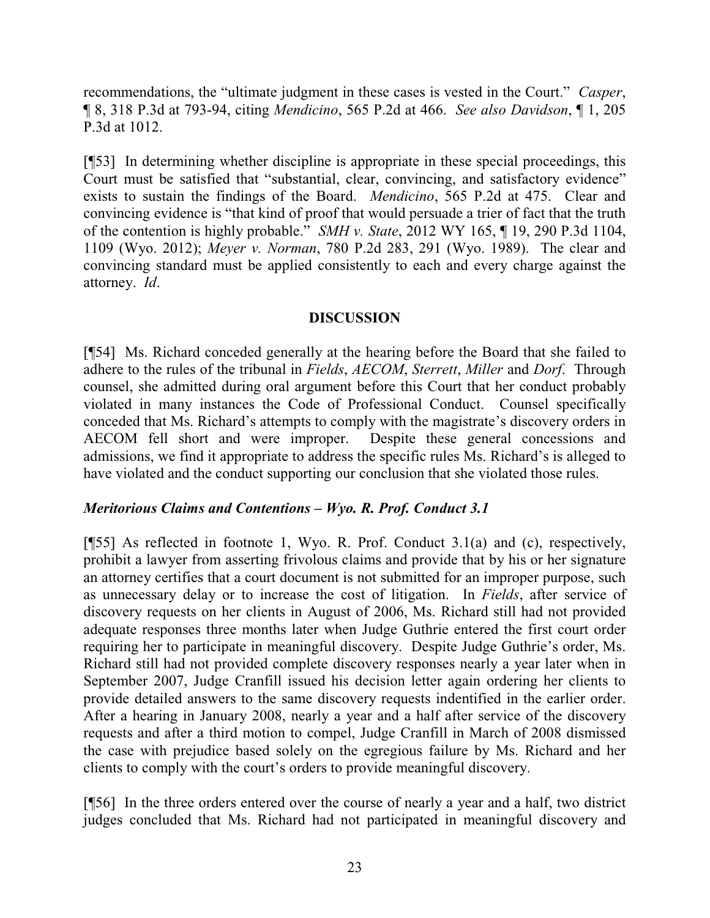recommendations, the "ultimate judgment in these cases is vested in the Court." *Casper*, ¶ 8, 318 P.3d at 793-94, citing *Mendicino*, 565 P.2d at 466. *See also Davidson*, ¶ 1, 205 P.3d at 1012.

[¶53] In determining whether discipline is appropriate in these special proceedings, this Court must be satisfied that "substantial, clear, convincing, and satisfactory evidence" exists to sustain the findings of the Board. *Mendicino*, 565 P.2d at 475. Clear and convincing evidence is "that kind of proof that would persuade a trier of fact that the truth of the contention is highly probable." *SMH v. State*, 2012 WY 165, ¶ 19, 290 P.3d 1104, 1109 (Wyo. 2012); *Meyer v. Norman*, 780 P.2d 283, 291 (Wyo. 1989). The clear and convincing standard must be applied consistently to each and every charge against the attorney. *Id*.

# **DISCUSSION**

[¶54] Ms. Richard conceded generally at the hearing before the Board that she failed to adhere to the rules of the tribunal in *Fields*, *AECOM*, *Sterrett*, *Miller* and *Dorf*. Through counsel, she admitted during oral argument before this Court that her conduct probably violated in many instances the Code of Professional Conduct. Counsel specifically conceded that Ms. Richard's attempts to comply with the magistrate's discovery orders in AECOM fell short and were improper. Despite these general concessions and admissions, we find it appropriate to address the specific rules Ms. Richard's is alleged to have violated and the conduct supporting our conclusion that she violated those rules.

### *Meritorious Claims and Contentions – Wyo. R. Prof. Conduct 3.1*

[¶55] As reflected in footnote 1, Wyo. R. Prof. Conduct 3.1(a) and (c), respectively, prohibit a lawyer from asserting frivolous claims and provide that by his or her signature an attorney certifies that a court document is not submitted for an improper purpose, such as unnecessary delay or to increase the cost of litigation. In *Fields*, after service of discovery requests on her clients in August of 2006, Ms. Richard still had not provided adequate responses three months later when Judge Guthrie entered the first court order requiring her to participate in meaningful discovery. Despite Judge Guthrie's order, Ms. Richard still had not provided complete discovery responses nearly a year later when in September 2007, Judge Cranfill issued his decision letter again ordering her clients to provide detailed answers to the same discovery requests indentified in the earlier order. After a hearing in January 2008, nearly a year and a half after service of the discovery requests and after a third motion to compel, Judge Cranfill in March of 2008 dismissed the case with prejudice based solely on the egregious failure by Ms. Richard and her clients to comply with the court's orders to provide meaningful discovery.

[¶56] In the three orders entered over the course of nearly a year and a half, two district judges concluded that Ms. Richard had not participated in meaningful discovery and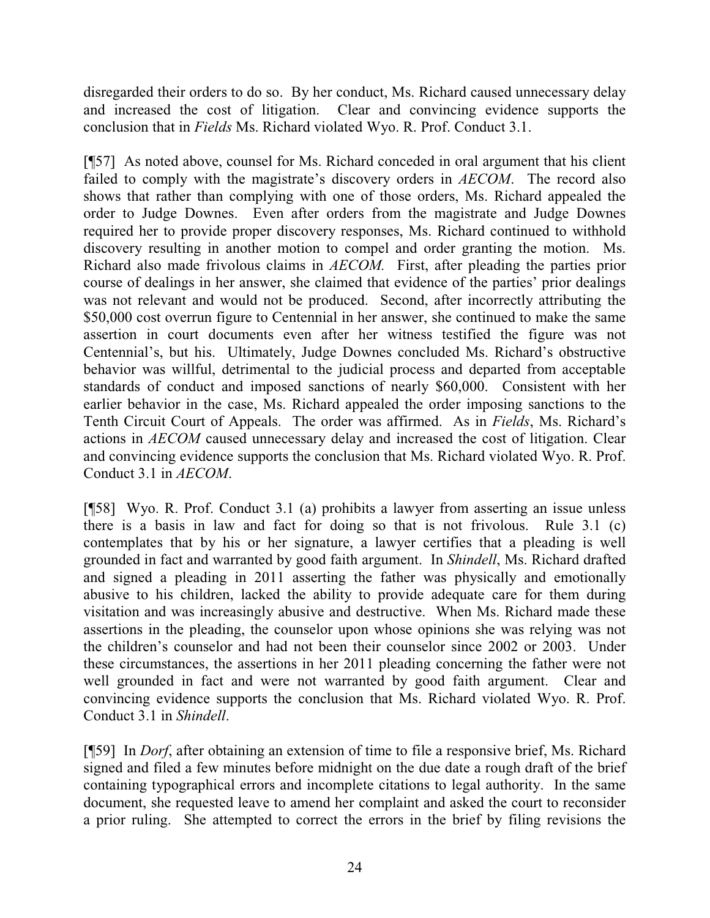disregarded their orders to do so. By her conduct, Ms. Richard caused unnecessary delay and increased the cost of litigation. Clear and convincing evidence supports the conclusion that in *Fields* Ms. Richard violated Wyo. R. Prof. Conduct 3.1.

[¶57] As noted above, counsel for Ms. Richard conceded in oral argument that his client failed to comply with the magistrate's discovery orders in *AECOM*. The record also shows that rather than complying with one of those orders, Ms. Richard appealed the order to Judge Downes. Even after orders from the magistrate and Judge Downes required her to provide proper discovery responses, Ms. Richard continued to withhold discovery resulting in another motion to compel and order granting the motion. Ms. Richard also made frivolous claims in *AECOM.* First, after pleading the parties prior course of dealings in her answer, she claimed that evidence of the parties' prior dealings was not relevant and would not be produced. Second, after incorrectly attributing the \$50,000 cost overrun figure to Centennial in her answer, she continued to make the same assertion in court documents even after her witness testified the figure was not Centennial's, but his. Ultimately, Judge Downes concluded Ms. Richard's obstructive behavior was willful, detrimental to the judicial process and departed from acceptable standards of conduct and imposed sanctions of nearly \$60,000. Consistent with her earlier behavior in the case, Ms. Richard appealed the order imposing sanctions to the Tenth Circuit Court of Appeals. The order was affirmed. As in *Fields*, Ms. Richard's actions in *AECOM* caused unnecessary delay and increased the cost of litigation. Clear and convincing evidence supports the conclusion that Ms. Richard violated Wyo. R. Prof. Conduct 3.1 in *AECOM*.

[¶58] Wyo. R. Prof. Conduct 3.1 (a) prohibits a lawyer from asserting an issue unless there is a basis in law and fact for doing so that is not frivolous. Rule 3.1 (c) contemplates that by his or her signature, a lawyer certifies that a pleading is well grounded in fact and warranted by good faith argument. In *Shindell*, Ms. Richard drafted and signed a pleading in 2011 asserting the father was physically and emotionally abusive to his children, lacked the ability to provide adequate care for them during visitation and was increasingly abusive and destructive. When Ms. Richard made these assertions in the pleading, the counselor upon whose opinions she was relying was not the children's counselor and had not been their counselor since 2002 or 2003. Under these circumstances, the assertions in her 2011 pleading concerning the father were not well grounded in fact and were not warranted by good faith argument. Clear and convincing evidence supports the conclusion that Ms. Richard violated Wyo. R. Prof. Conduct 3.1 in *Shindell*.

[¶59] In *Dorf*, after obtaining an extension of time to file a responsive brief, Ms. Richard signed and filed a few minutes before midnight on the due date a rough draft of the brief containing typographical errors and incomplete citations to legal authority. In the same document, she requested leave to amend her complaint and asked the court to reconsider a prior ruling. She attempted to correct the errors in the brief by filing revisions the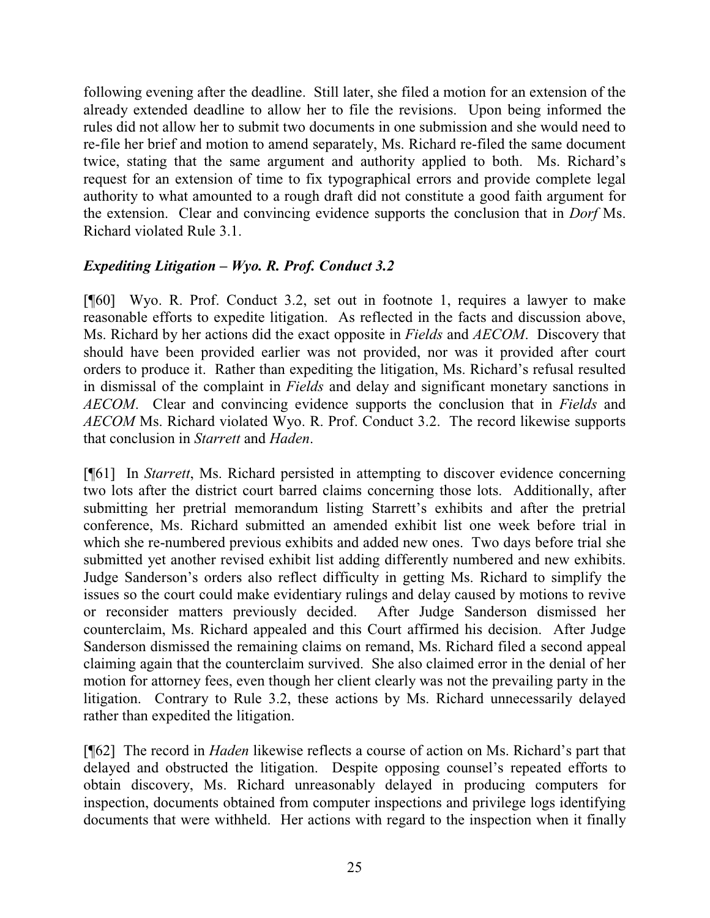following evening after the deadline. Still later, she filed a motion for an extension of the already extended deadline to allow her to file the revisions. Upon being informed the rules did not allow her to submit two documents in one submission and she would need to re-file her brief and motion to amend separately, Ms. Richard re-filed the same document twice, stating that the same argument and authority applied to both. Ms. Richard's request for an extension of time to fix typographical errors and provide complete legal authority to what amounted to a rough draft did not constitute a good faith argument for the extension. Clear and convincing evidence supports the conclusion that in *Dorf* Ms. Richard violated Rule 3.1.

# *Expediting Litigation – Wyo. R. Prof. Conduct 3.2*

[¶60] Wyo. R. Prof. Conduct 3.2, set out in footnote 1, requires a lawyer to make reasonable efforts to expedite litigation. As reflected in the facts and discussion above, Ms. Richard by her actions did the exact opposite in *Fields* and *AECOM*. Discovery that should have been provided earlier was not provided, nor was it provided after court orders to produce it. Rather than expediting the litigation, Ms. Richard's refusal resulted in dismissal of the complaint in *Fields* and delay and significant monetary sanctions in *AECOM*. Clear and convincing evidence supports the conclusion that in *Fields* and *AECOM* Ms. Richard violated Wyo. R. Prof. Conduct 3.2. The record likewise supports that conclusion in *Starrett* and *Haden*.

[¶61] In *Starrett*, Ms. Richard persisted in attempting to discover evidence concerning two lots after the district court barred claims concerning those lots. Additionally, after submitting her pretrial memorandum listing Starrett's exhibits and after the pretrial conference, Ms. Richard submitted an amended exhibit list one week before trial in which she re-numbered previous exhibits and added new ones. Two days before trial she submitted yet another revised exhibit list adding differently numbered and new exhibits. Judge Sanderson's orders also reflect difficulty in getting Ms. Richard to simplify the issues so the court could make evidentiary rulings and delay caused by motions to revive or reconsider matters previously decided. After Judge Sanderson dismissed her counterclaim, Ms. Richard appealed and this Court affirmed his decision. After Judge Sanderson dismissed the remaining claims on remand, Ms. Richard filed a second appeal claiming again that the counterclaim survived. She also claimed error in the denial of her motion for attorney fees, even though her client clearly was not the prevailing party in the litigation. Contrary to Rule 3.2, these actions by Ms. Richard unnecessarily delayed rather than expedited the litigation.

[¶62] The record in *Haden* likewise reflects a course of action on Ms. Richard's part that delayed and obstructed the litigation. Despite opposing counsel's repeated efforts to obtain discovery, Ms. Richard unreasonably delayed in producing computers for inspection, documents obtained from computer inspections and privilege logs identifying documents that were withheld. Her actions with regard to the inspection when it finally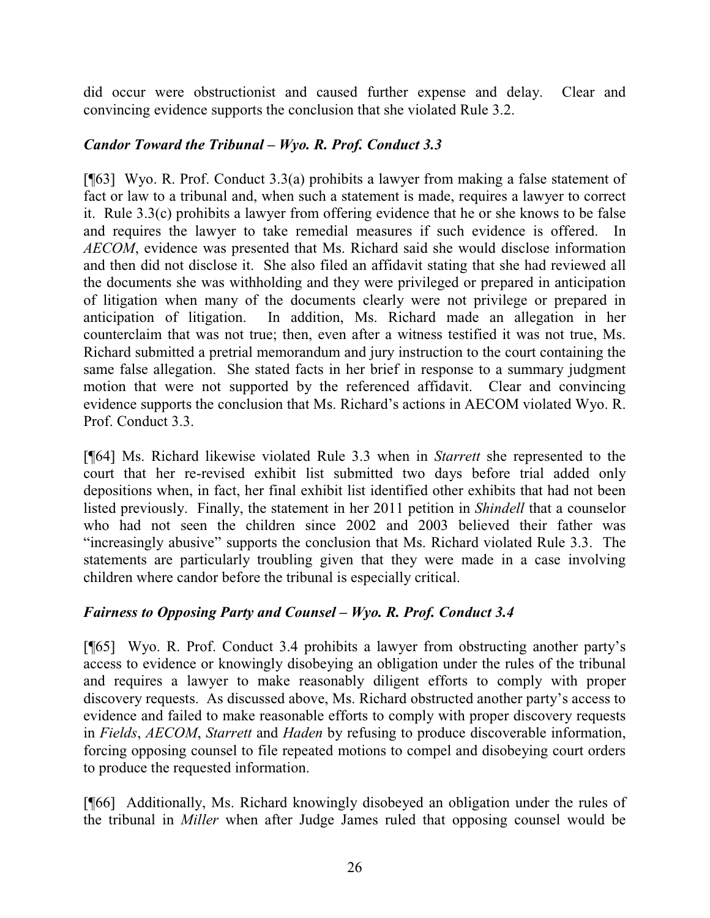did occur were obstructionist and caused further expense and delay. Clear and convincing evidence supports the conclusion that she violated Rule 3.2.

# *Candor Toward the Tribunal – Wyo. R. Prof. Conduct 3.3*

[¶63] Wyo. R. Prof. Conduct 3.3(a) prohibits a lawyer from making a false statement of fact or law to a tribunal and, when such a statement is made, requires a lawyer to correct it. Rule 3.3(c) prohibits a lawyer from offering evidence that he or she knows to be false and requires the lawyer to take remedial measures if such evidence is offered. In *AECOM*, evidence was presented that Ms. Richard said she would disclose information and then did not disclose it. She also filed an affidavit stating that she had reviewed all the documents she was withholding and they were privileged or prepared in anticipation of litigation when many of the documents clearly were not privilege or prepared in anticipation of litigation. In addition, Ms. Richard made an allegation in her counterclaim that was not true; then, even after a witness testified it was not true, Ms. Richard submitted a pretrial memorandum and jury instruction to the court containing the same false allegation. She stated facts in her brief in response to a summary judgment motion that were not supported by the referenced affidavit. Clear and convincing evidence supports the conclusion that Ms. Richard's actions in AECOM violated Wyo. R. Prof. Conduct 3.3.

[¶64] Ms. Richard likewise violated Rule 3.3 when in *Starrett* she represented to the court that her re-revised exhibit list submitted two days before trial added only depositions when, in fact, her final exhibit list identified other exhibits that had not been listed previously. Finally, the statement in her 2011 petition in *Shindell* that a counselor who had not seen the children since 2002 and 2003 believed their father was "increasingly abusive" supports the conclusion that Ms. Richard violated Rule 3.3. The statements are particularly troubling given that they were made in a case involving children where candor before the tribunal is especially critical.

# *Fairness to Opposing Party and Counsel – Wyo. R. Prof. Conduct 3.4*

[¶65] Wyo. R. Prof. Conduct 3.4 prohibits a lawyer from obstructing another party's access to evidence or knowingly disobeying an obligation under the rules of the tribunal and requires a lawyer to make reasonably diligent efforts to comply with proper discovery requests. As discussed above, Ms. Richard obstructed another party's access to evidence and failed to make reasonable efforts to comply with proper discovery requests in *Fields*, *AECOM*, *Starrett* and *Haden* by refusing to produce discoverable information, forcing opposing counsel to file repeated motions to compel and disobeying court orders to produce the requested information.

[¶66] Additionally, Ms. Richard knowingly disobeyed an obligation under the rules of the tribunal in *Miller* when after Judge James ruled that opposing counsel would be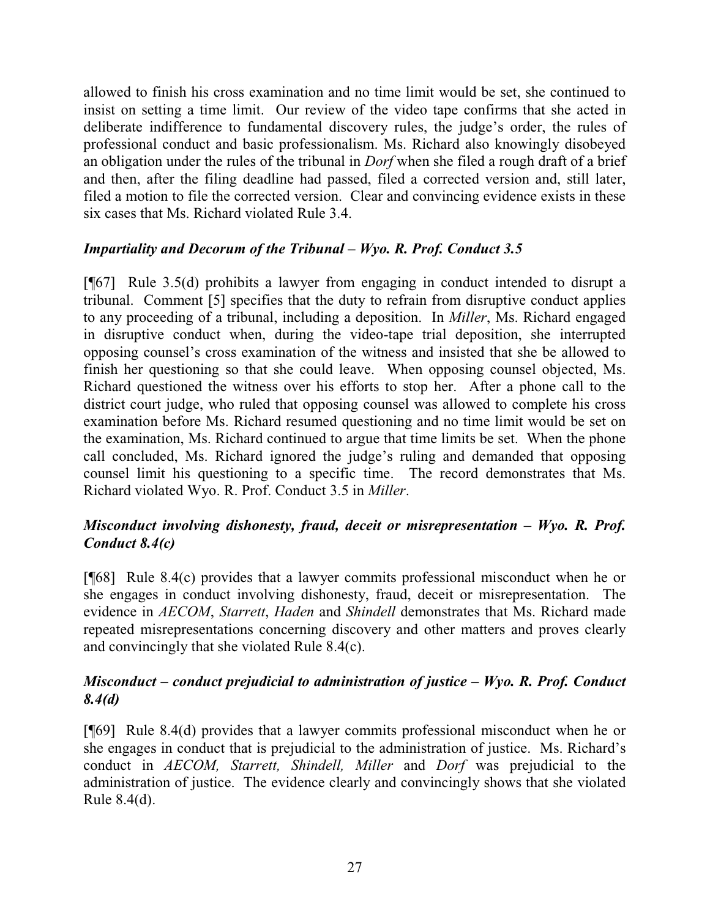allowed to finish his cross examination and no time limit would be set, she continued to insist on setting a time limit. Our review of the video tape confirms that she acted in deliberate indifference to fundamental discovery rules, the judge's order, the rules of professional conduct and basic professionalism. Ms. Richard also knowingly disobeyed an obligation under the rules of the tribunal in *Dorf* when she filed a rough draft of a brief and then, after the filing deadline had passed, filed a corrected version and, still later, filed a motion to file the corrected version. Clear and convincing evidence exists in these six cases that Ms. Richard violated Rule 3.4.

# *Impartiality and Decorum of the Tribunal – Wyo. R. Prof. Conduct 3.5*

[¶67] Rule 3.5(d) prohibits a lawyer from engaging in conduct intended to disrupt a tribunal. Comment [5] specifies that the duty to refrain from disruptive conduct applies to any proceeding of a tribunal, including a deposition. In *Miller*, Ms. Richard engaged in disruptive conduct when, during the video-tape trial deposition, she interrupted opposing counsel's cross examination of the witness and insisted that she be allowed to finish her questioning so that she could leave. When opposing counsel objected, Ms. Richard questioned the witness over his efforts to stop her. After a phone call to the district court judge, who ruled that opposing counsel was allowed to complete his cross examination before Ms. Richard resumed questioning and no time limit would be set on the examination, Ms. Richard continued to argue that time limits be set. When the phone call concluded, Ms. Richard ignored the judge's ruling and demanded that opposing counsel limit his questioning to a specific time. The record demonstrates that Ms. Richard violated Wyo. R. Prof. Conduct 3.5 in *Miller*.

# *Misconduct involving dishonesty, fraud, deceit or misrepresentation – Wyo. R. Prof. Conduct 8.4(c)*

[¶68] Rule 8.4(c) provides that a lawyer commits professional misconduct when he or she engages in conduct involving dishonesty, fraud, deceit or misrepresentation. The evidence in *AECOM*, *Starrett*, *Haden* and *Shindell* demonstrates that Ms. Richard made repeated misrepresentations concerning discovery and other matters and proves clearly and convincingly that she violated Rule 8.4(c).

# *Misconduct – conduct prejudicial to administration of justice – Wyo. R. Prof. Conduct 8.4(d)*

[¶69] Rule 8.4(d) provides that a lawyer commits professional misconduct when he or she engages in conduct that is prejudicial to the administration of justice. Ms. Richard's conduct in *AECOM, Starrett, Shindell, Miller* and *Dorf* was prejudicial to the administration of justice. The evidence clearly and convincingly shows that she violated Rule 8.4(d).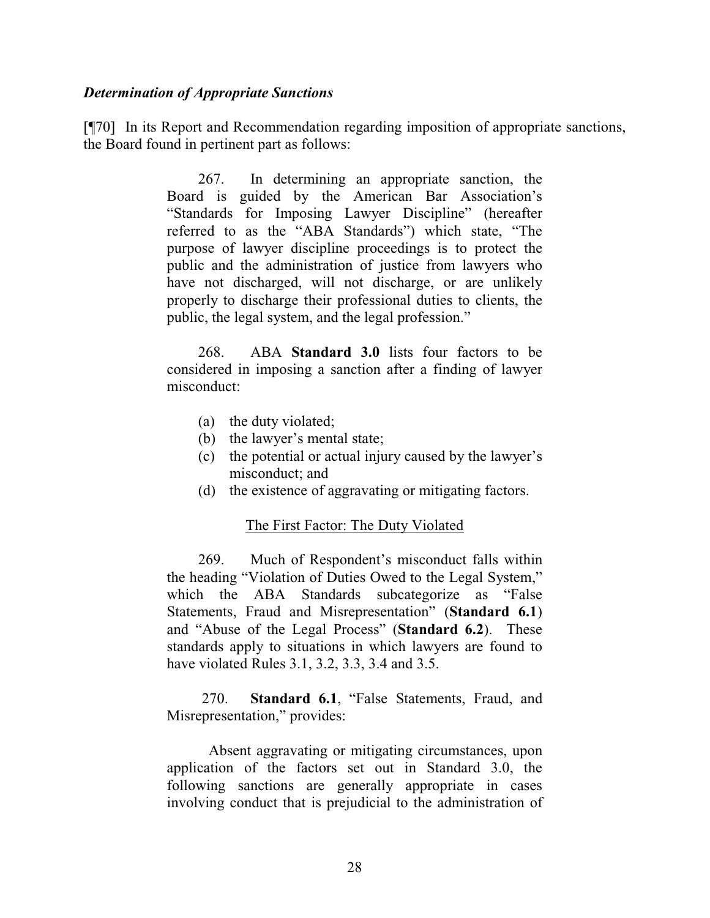#### *Determination of Appropriate Sanctions*

[¶70] In its Report and Recommendation regarding imposition of appropriate sanctions, the Board found in pertinent part as follows:

> 267. In determining an appropriate sanction, the Board is guided by the American Bar Association's "Standards for Imposing Lawyer Discipline" (hereafter referred to as the "ABA Standards") which state, "The purpose of lawyer discipline proceedings is to protect the public and the administration of justice from lawyers who have not discharged, will not discharge, or are unlikely properly to discharge their professional duties to clients, the public, the legal system, and the legal profession."

> 268. ABA **Standard 3.0** lists four factors to be considered in imposing a sanction after a finding of lawyer misconduct:

- (a) the duty violated;
- (b) the lawyer's mental state;
- (c) the potential or actual injury caused by the lawyer's misconduct; and
- (d) the existence of aggravating or mitigating factors.

### The First Factor: The Duty Violated

269. Much of Respondent's misconduct falls within the heading "Violation of Duties Owed to the Legal System," which the ABA Standards subcategorize as "False Statements, Fraud and Misrepresentation" (**Standard 6.1**) and "Abuse of the Legal Process" (**Standard 6.2**). These standards apply to situations in which lawyers are found to have violated Rules 3.1, 3.2, 3.3, 3.4 and 3.5.

270. **Standard 6.1**, "False Statements, Fraud, and Misrepresentation," provides:

Absent aggravating or mitigating circumstances, upon application of the factors set out in Standard 3.0, the following sanctions are generally appropriate in cases involving conduct that is prejudicial to the administration of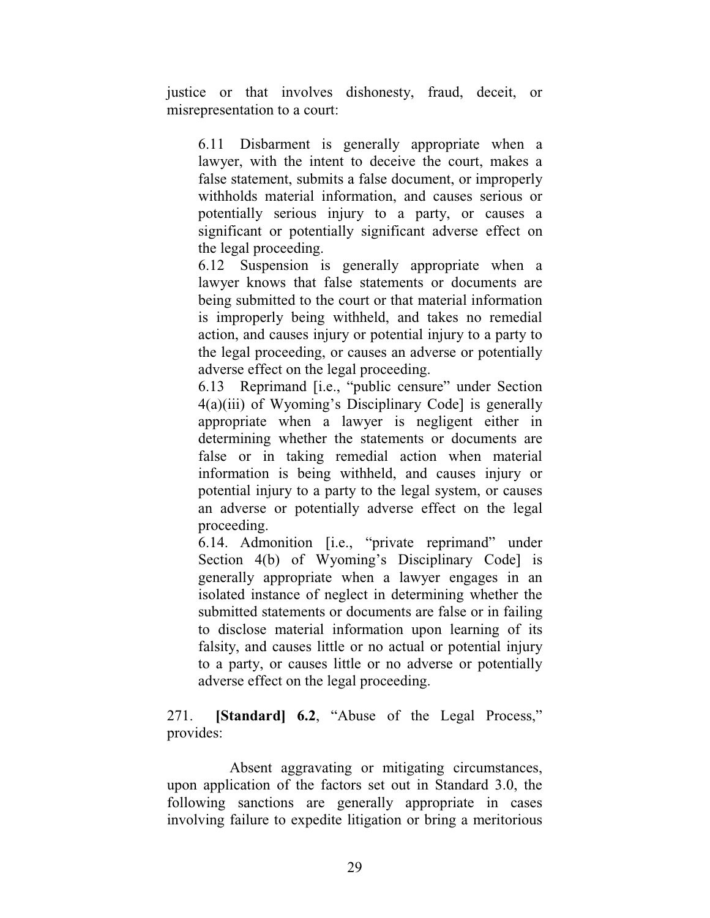justice or that involves dishonesty, fraud, deceit, or misrepresentation to a court:

6.11 Disbarment is generally appropriate when a lawyer, with the intent to deceive the court, makes a false statement, submits a false document, or improperly withholds material information, and causes serious or potentially serious injury to a party, or causes a significant or potentially significant adverse effect on the legal proceeding.

6.12 Suspension is generally appropriate when a lawyer knows that false statements or documents are being submitted to the court or that material information is improperly being withheld, and takes no remedial action, and causes injury or potential injury to a party to the legal proceeding, or causes an adverse or potentially adverse effect on the legal proceeding.

6.13 Reprimand [i.e., "public censure" under Section 4(a)(iii) of Wyoming's Disciplinary Code] is generally appropriate when a lawyer is negligent either in determining whether the statements or documents are false or in taking remedial action when material information is being withheld, and causes injury or potential injury to a party to the legal system, or causes an adverse or potentially adverse effect on the legal proceeding.

6.14. Admonition [i.e., "private reprimand" under Section 4(b) of Wyoming's Disciplinary Code] is generally appropriate when a lawyer engages in an isolated instance of neglect in determining whether the submitted statements or documents are false or in failing to disclose material information upon learning of its falsity, and causes little or no actual or potential injury to a party, or causes little or no adverse or potentially adverse effect on the legal proceeding.

271. **[Standard] 6.2**, "Abuse of the Legal Process," provides:

Absent aggravating or mitigating circumstances, upon application of the factors set out in Standard 3.0, the following sanctions are generally appropriate in cases involving failure to expedite litigation or bring a meritorious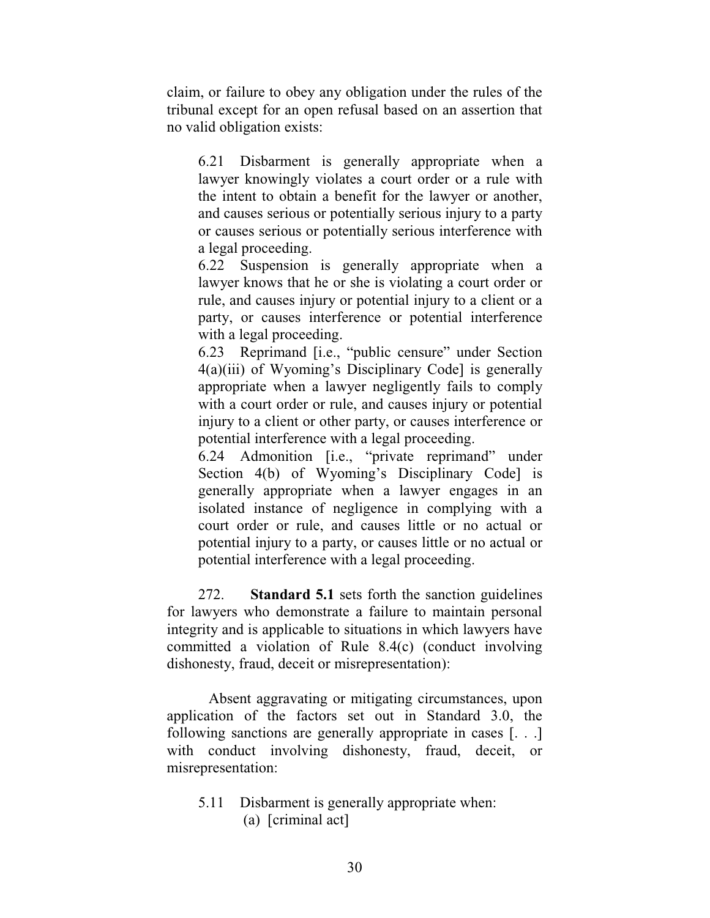claim, or failure to obey any obligation under the rules of the tribunal except for an open refusal based on an assertion that no valid obligation exists:

6.21 Disbarment is generally appropriate when a lawyer knowingly violates a court order or a rule with the intent to obtain a benefit for the lawyer or another, and causes serious or potentially serious injury to a party or causes serious or potentially serious interference with a legal proceeding.

6.22 Suspension is generally appropriate when a lawyer knows that he or she is violating a court order or rule, and causes injury or potential injury to a client or a party, or causes interference or potential interference with a legal proceeding.

6.23 Reprimand [i.e., "public censure" under Section 4(a)(iii) of Wyoming's Disciplinary Code] is generally appropriate when a lawyer negligently fails to comply with a court order or rule, and causes injury or potential injury to a client or other party, or causes interference or potential interference with a legal proceeding.

6.24 Admonition [i.e., "private reprimand" under Section 4(b) of Wyoming's Disciplinary Code] is generally appropriate when a lawyer engages in an isolated instance of negligence in complying with a court order or rule, and causes little or no actual or potential injury to a party, or causes little or no actual or potential interference with a legal proceeding.

272. **Standard 5.1** sets forth the sanction guidelines for lawyers who demonstrate a failure to maintain personal integrity and is applicable to situations in which lawyers have committed a violation of Rule 8.4(c) (conduct involving dishonesty, fraud, deceit or misrepresentation):

Absent aggravating or mitigating circumstances, upon application of the factors set out in Standard 3.0, the following sanctions are generally appropriate in cases [. . .] with conduct involving dishonesty, fraud, deceit, or misrepresentation:

5.11 Disbarment is generally appropriate when: (a) [criminal act]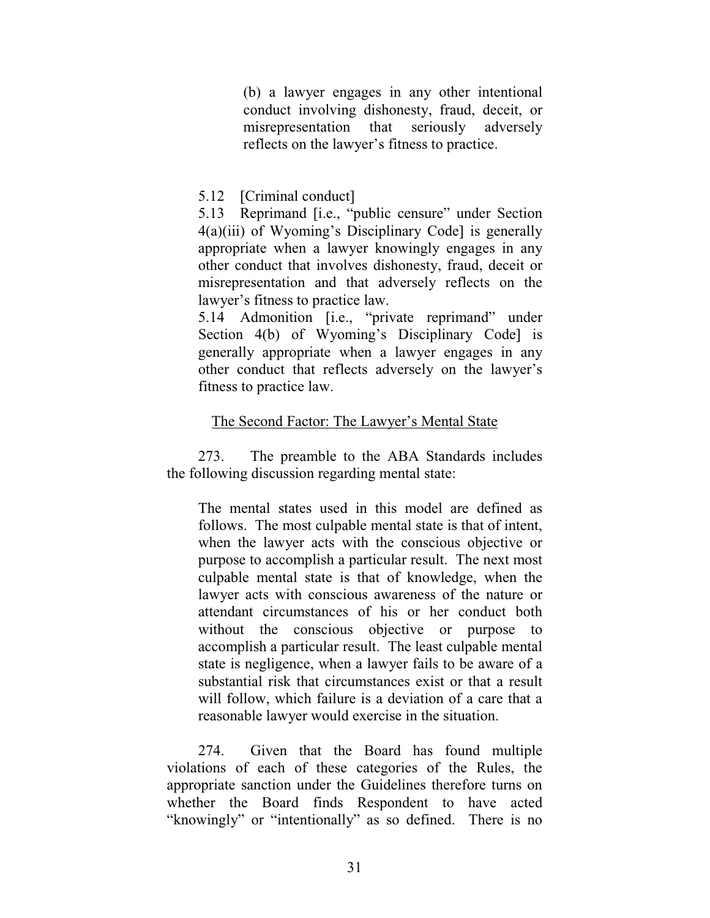(b) a lawyer engages in any other intentional conduct involving dishonesty, fraud, deceit, or misrepresentation that seriously adversely reflects on the lawyer's fitness to practice.

#### 5.12 [Criminal conduct]

5.13 Reprimand [i.e., "public censure" under Section 4(a)(iii) of Wyoming's Disciplinary Code] is generally appropriate when a lawyer knowingly engages in any other conduct that involves dishonesty, fraud, deceit or misrepresentation and that adversely reflects on the lawyer's fitness to practice law.

5.14 Admonition [i.e., "private reprimand" under Section 4(b) of Wyoming's Disciplinary Code] is generally appropriate when a lawyer engages in any other conduct that reflects adversely on the lawyer's fitness to practice law.

#### The Second Factor: The Lawyer's Mental State

273. The preamble to the ABA Standards includes the following discussion regarding mental state:

The mental states used in this model are defined as follows. The most culpable mental state is that of intent, when the lawyer acts with the conscious objective or purpose to accomplish a particular result. The next most culpable mental state is that of knowledge, when the lawyer acts with conscious awareness of the nature or attendant circumstances of his or her conduct both without the conscious objective or purpose to accomplish a particular result. The least culpable mental state is negligence, when a lawyer fails to be aware of a substantial risk that circumstances exist or that a result will follow, which failure is a deviation of a care that a reasonable lawyer would exercise in the situation.

274. Given that the Board has found multiple violations of each of these categories of the Rules, the appropriate sanction under the Guidelines therefore turns on whether the Board finds Respondent to have acted "knowingly" or "intentionally" as so defined. There is no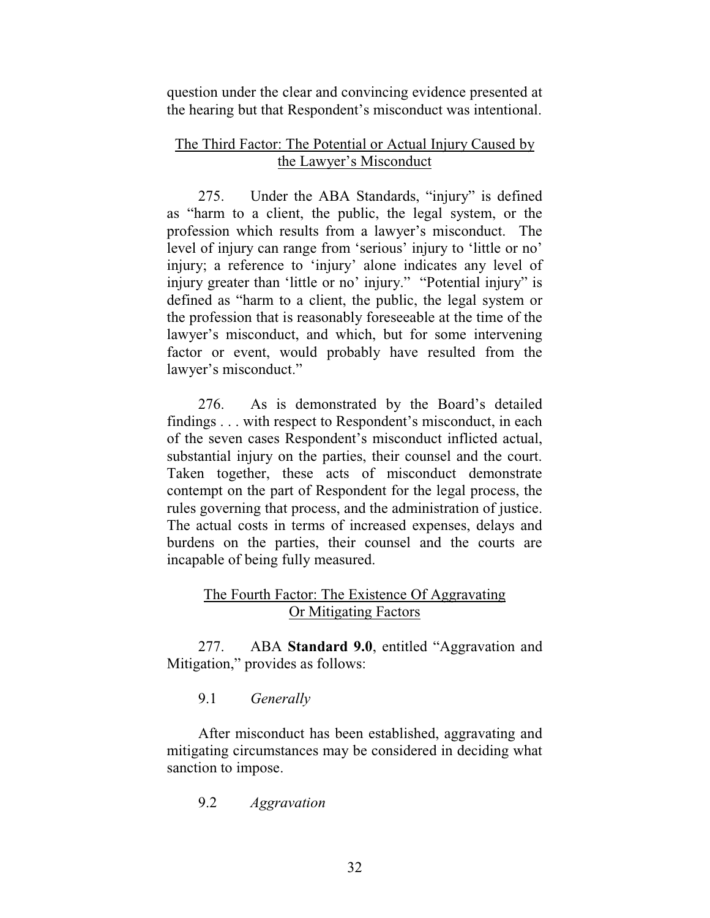question under the clear and convincing evidence presented at the hearing but that Respondent's misconduct was intentional.

### The Third Factor: The Potential or Actual Injury Caused by the Lawyer's Misconduct

275. Under the ABA Standards, "injury" is defined as "harm to a client, the public, the legal system, or the profession which results from a lawyer's misconduct. The level of injury can range from 'serious' injury to 'little or no' injury; a reference to 'injury' alone indicates any level of injury greater than 'little or no' injury." "Potential injury" is defined as "harm to a client, the public, the legal system or the profession that is reasonably foreseeable at the time of the lawyer's misconduct, and which, but for some intervening factor or event, would probably have resulted from the lawyer's misconduct."

276. As is demonstrated by the Board's detailed findings . . . with respect to Respondent's misconduct, in each of the seven cases Respondent's misconduct inflicted actual, substantial injury on the parties, their counsel and the court. Taken together, these acts of misconduct demonstrate contempt on the part of Respondent for the legal process, the rules governing that process, and the administration of justice. The actual costs in terms of increased expenses, delays and burdens on the parties, their counsel and the courts are incapable of being fully measured.

# The Fourth Factor: The Existence Of Aggravating Or Mitigating Factors

277. ABA **Standard 9.0**, entitled "Aggravation and Mitigation," provides as follows:

### 9.1 *Generally*

After misconduct has been established, aggravating and mitigating circumstances may be considered in deciding what sanction to impose.

9.2 *Aggravation*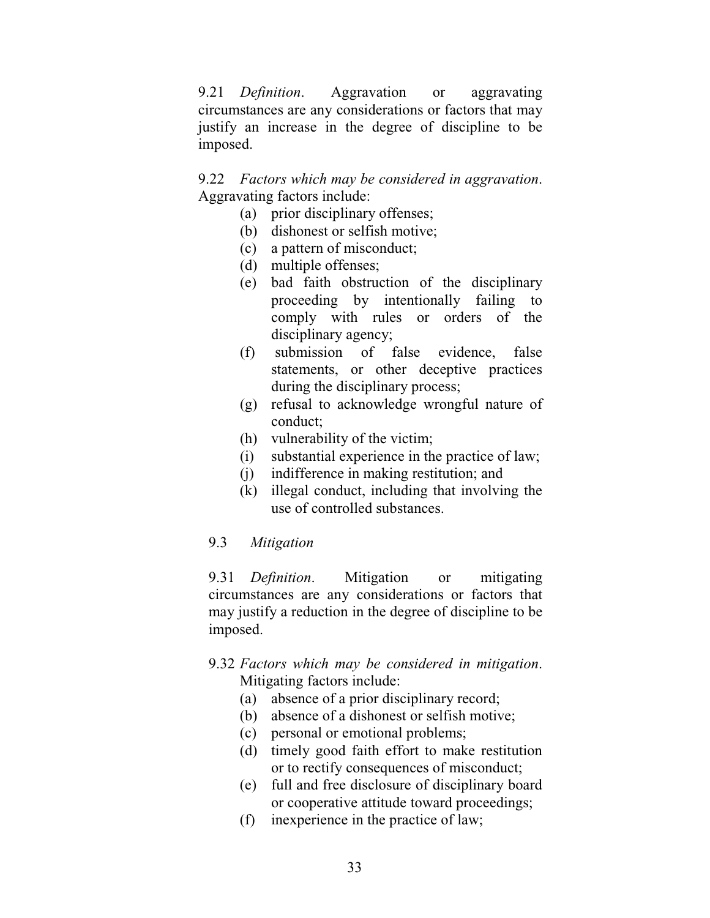9.21 *Definition*. Aggravation or aggravating circumstances are any considerations or factors that may justify an increase in the degree of discipline to be imposed.

9.22 *Factors which may be considered in aggravation*. Aggravating factors include:

- (a) prior disciplinary offenses;
- (b) dishonest or selfish motive;
- (c) a pattern of misconduct;
- (d) multiple offenses;
- (e) bad faith obstruction of the disciplinary proceeding by intentionally failing to comply with rules or orders of the disciplinary agency;
- (f) submission of false evidence, false statements, or other deceptive practices during the disciplinary process;
- (g) refusal to acknowledge wrongful nature of conduct;
- (h) vulnerability of the victim;
- (i) substantial experience in the practice of law;
- (j) indifference in making restitution; and
- (k) illegal conduct, including that involving the use of controlled substances.

### 9.3 *Mitigation*

9.31 *Definition*. Mitigation or mitigating circumstances are any considerations or factors that may justify a reduction in the degree of discipline to be imposed.

### 9.32 *Factors which may be considered in mitigation*. Mitigating factors include:

- (a) absence of a prior disciplinary record;
- (b) absence of a dishonest or selfish motive;
- (c) personal or emotional problems;
- (d) timely good faith effort to make restitution or to rectify consequences of misconduct;
- (e) full and free disclosure of disciplinary board or cooperative attitude toward proceedings;
- (f) inexperience in the practice of law;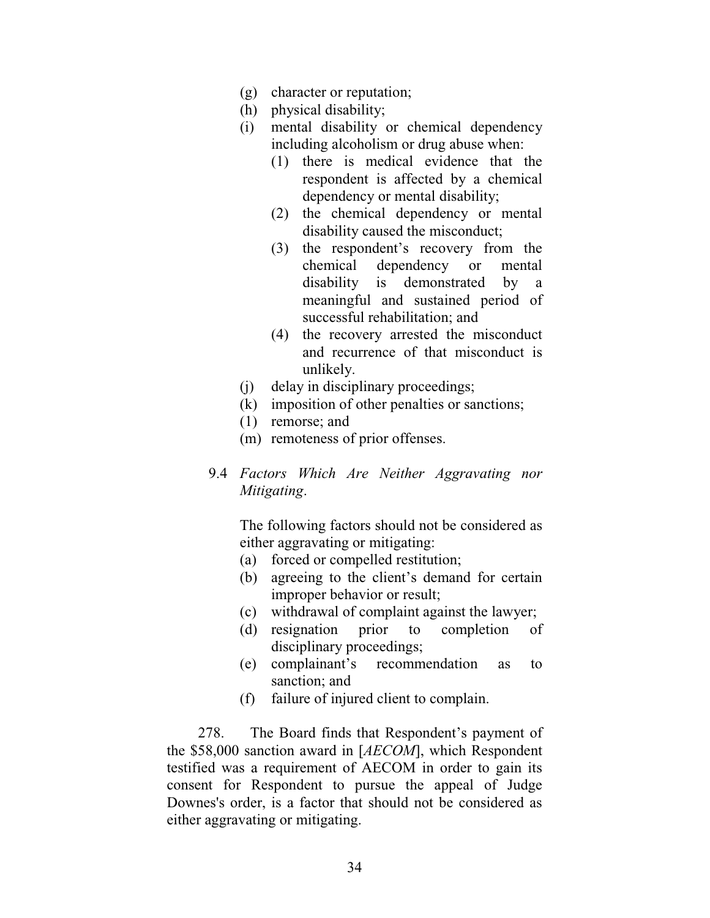- (g) character or reputation;
- (h) physical disability;
- (i) mental disability or chemical dependency including alcoholism or drug abuse when:
	- (1) there is medical evidence that the respondent is affected by a chemical dependency or mental disability;
	- (2) the chemical dependency or mental disability caused the misconduct;
	- (3) the respondent's recovery from the chemical dependency or mental disability is demonstrated by a meaningful and sustained period of successful rehabilitation; and
	- (4) the recovery arrested the misconduct and recurrence of that misconduct is unlikely.
- (j) delay in disciplinary proceedings;
- (k) imposition of other penalties or sanctions;
- (1) remorse; and
- (m) remoteness of prior offenses.
- 9.4 *Factors Which Are Neither Aggravating nor Mitigating*.

The following factors should not be considered as either aggravating or mitigating:

- (a) forced or compelled restitution;
- (b) agreeing to the client's demand for certain improper behavior or result;
- (c) withdrawal of complaint against the lawyer;
- (d) resignation prior to completion of disciplinary proceedings;
- (e) complainant's recommendation as to sanction; and
- (f) failure of injured client to complain.

278. The Board finds that Respondent's payment of the \$58,000 sanction award in [*AECOM*], which Respondent testified was a requirement of AECOM in order to gain its consent for Respondent to pursue the appeal of Judge Downes's order, is a factor that should not be considered as either aggravating or mitigating.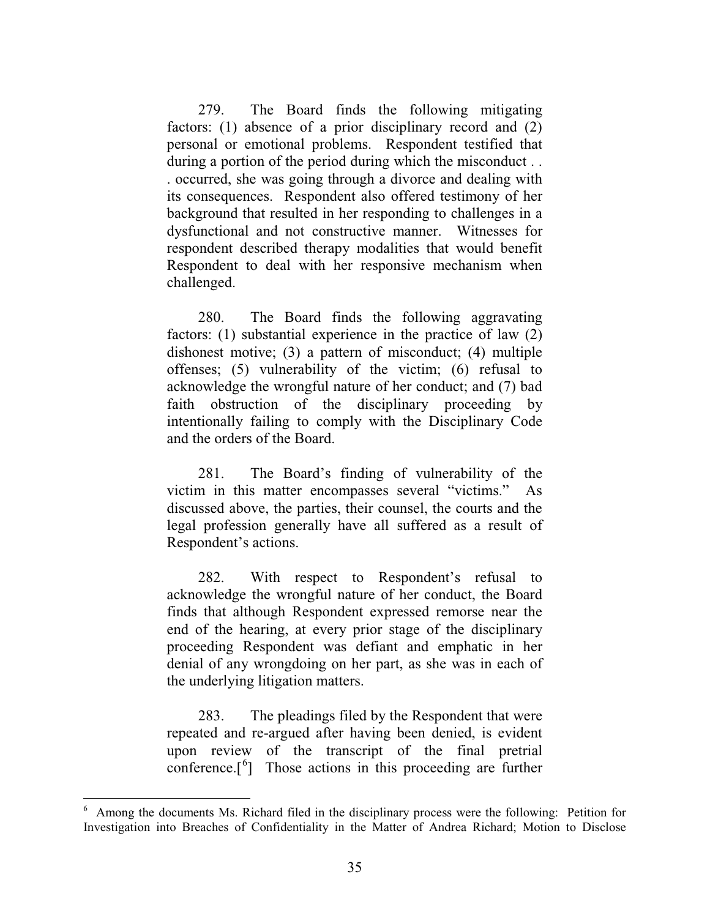279. The Board finds the following mitigating factors: (1) absence of a prior disciplinary record and (2) personal or emotional problems. Respondent testified that during a portion of the period during which the misconduct... . occurred, she was going through a divorce and dealing with its consequences. Respondent also offered testimony of her background that resulted in her responding to challenges in a dysfunctional and not constructive manner. Witnesses for respondent described therapy modalities that would benefit Respondent to deal with her responsive mechanism when challenged.

280. The Board finds the following aggravating factors: (1) substantial experience in the practice of law (2) dishonest motive; (3) a pattern of misconduct; (4) multiple offenses; (5) vulnerability of the victim; (6) refusal to acknowledge the wrongful nature of her conduct; and (7) bad faith obstruction of the disciplinary proceeding by intentionally failing to comply with the Disciplinary Code and the orders of the Board.

281. The Board's finding of vulnerability of the victim in this matter encompasses several "victims." As discussed above, the parties, their counsel, the courts and the legal profession generally have all suffered as a result of Respondent's actions.

282. With respect to Respondent's refusal to acknowledge the wrongful nature of her conduct, the Board finds that although Respondent expressed remorse near the end of the hearing, at every prior stage of the disciplinary proceeding Respondent was defiant and emphatic in her denial of any wrongdoing on her part, as she was in each of the underlying litigation matters.

283. The pleadings filed by the Respondent that were repeated and re-argued after having been denied, is evident upon review of the transcript of the final pretrial conference.[ [6](#page-34-0) ] Those actions in this proceeding are further

<span id="page-34-0"></span><sup>6</sup> Among the documents Ms. Richard filed in the disciplinary process were the following: Petition for Investigation into Breaches of Confidentiality in the Matter of Andrea Richard; Motion to Disclose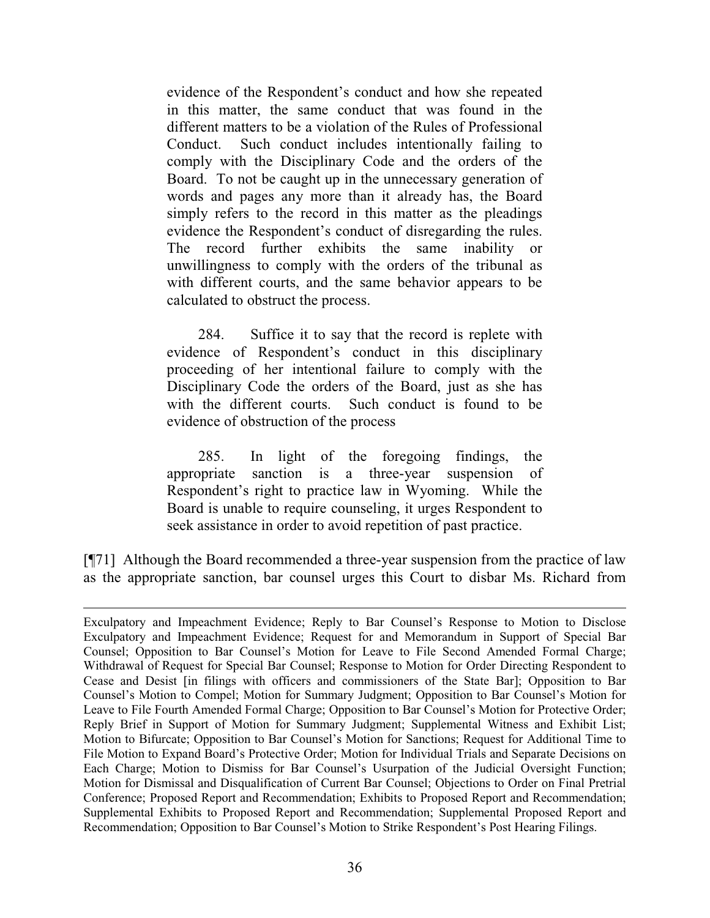evidence of the Respondent's conduct and how she repeated in this matter, the same conduct that was found in the different matters to be a violation of the Rules of Professional Conduct. Such conduct includes intentionally failing to comply with the Disciplinary Code and the orders of the Board. To not be caught up in the unnecessary generation of words and pages any more than it already has, the Board simply refers to the record in this matter as the pleadings evidence the Respondent's conduct of disregarding the rules. The record further exhibits the same inability or unwillingness to comply with the orders of the tribunal as with different courts, and the same behavior appears to be calculated to obstruct the process.

284. Suffice it to say that the record is replete with evidence of Respondent's conduct in this disciplinary proceeding of her intentional failure to comply with the Disciplinary Code the orders of the Board, just as she has with the different courts. Such conduct is found to be evidence of obstruction of the process

285. In light of the foregoing findings, the appropriate sanction is a three-year suspension of Respondent's right to practice law in Wyoming. While the Board is unable to require counseling, it urges Respondent to seek assistance in order to avoid repetition of past practice.

[¶71] Although the Board recommended a three-year suspension from the practice of law as the appropriate sanction, bar counsel urges this Court to disbar Ms. Richard from

Exculpatory and Impeachment Evidence; Reply to Bar Counsel's Response to Motion to Disclose Exculpatory and Impeachment Evidence; Request for and Memorandum in Support of Special Bar Counsel; Opposition to Bar Counsel's Motion for Leave to File Second Amended Formal Charge; Withdrawal of Request for Special Bar Counsel; Response to Motion for Order Directing Respondent to Cease and Desist [in filings with officers and commissioners of the State Bar]; Opposition to Bar Counsel's Motion to Compel; Motion for Summary Judgment; Opposition to Bar Counsel's Motion for Leave to File Fourth Amended Formal Charge; Opposition to Bar Counsel's Motion for Protective Order; Reply Brief in Support of Motion for Summary Judgment; Supplemental Witness and Exhibit List; Motion to Bifurcate; Opposition to Bar Counsel's Motion for Sanctions; Request for Additional Time to File Motion to Expand Board's Protective Order; Motion for Individual Trials and Separate Decisions on Each Charge; Motion to Dismiss for Bar Counsel's Usurpation of the Judicial Oversight Function; Motion for Dismissal and Disqualification of Current Bar Counsel; Objections to Order on Final Pretrial Conference; Proposed Report and Recommendation; Exhibits to Proposed Report and Recommendation; Supplemental Exhibits to Proposed Report and Recommendation; Supplemental Proposed Report and Recommendation; Opposition to Bar Counsel's Motion to Strike Respondent's Post Hearing Filings.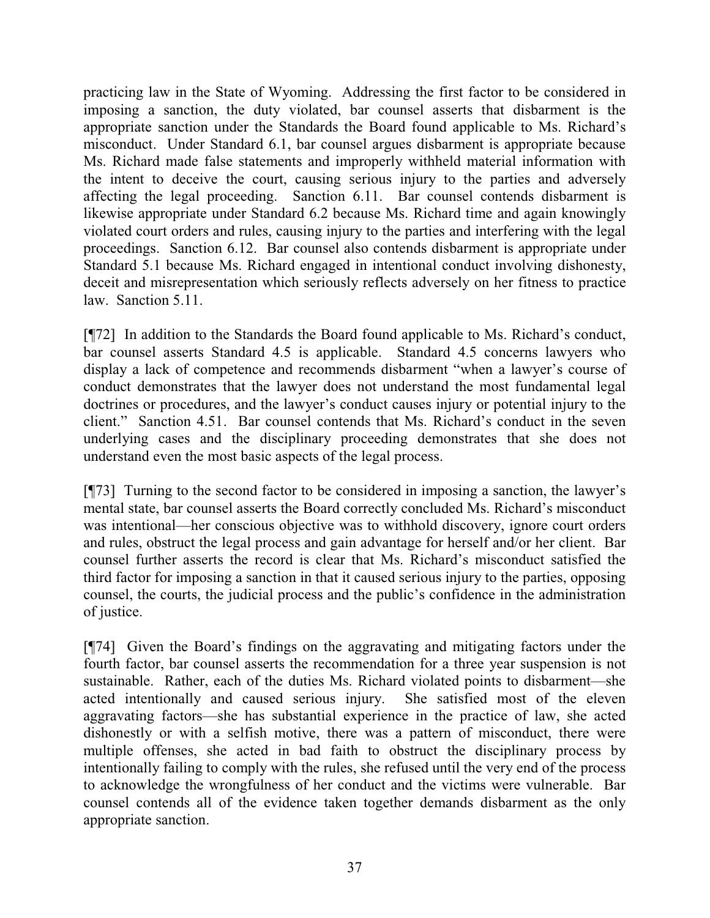practicing law in the State of Wyoming. Addressing the first factor to be considered in imposing a sanction, the duty violated, bar counsel asserts that disbarment is the appropriate sanction under the Standards the Board found applicable to Ms. Richard's misconduct. Under Standard 6.1, bar counsel argues disbarment is appropriate because Ms. Richard made false statements and improperly withheld material information with the intent to deceive the court, causing serious injury to the parties and adversely affecting the legal proceeding. Sanction 6.11. Bar counsel contends disbarment is likewise appropriate under Standard 6.2 because Ms. Richard time and again knowingly violated court orders and rules, causing injury to the parties and interfering with the legal proceedings. Sanction 6.12. Bar counsel also contends disbarment is appropriate under Standard 5.1 because Ms. Richard engaged in intentional conduct involving dishonesty, deceit and misrepresentation which seriously reflects adversely on her fitness to practice law. Sanction 5.11.

[¶72] In addition to the Standards the Board found applicable to Ms. Richard's conduct, bar counsel asserts Standard 4.5 is applicable. Standard 4.5 concerns lawyers who display a lack of competence and recommends disbarment "when a lawyer's course of conduct demonstrates that the lawyer does not understand the most fundamental legal doctrines or procedures, and the lawyer's conduct causes injury or potential injury to the client." Sanction 4.51. Bar counsel contends that Ms. Richard's conduct in the seven underlying cases and the disciplinary proceeding demonstrates that she does not understand even the most basic aspects of the legal process.

[¶73] Turning to the second factor to be considered in imposing a sanction, the lawyer's mental state, bar counsel asserts the Board correctly concluded Ms. Richard's misconduct was intentional—her conscious objective was to withhold discovery, ignore court orders and rules, obstruct the legal process and gain advantage for herself and/or her client. Bar counsel further asserts the record is clear that Ms. Richard's misconduct satisfied the third factor for imposing a sanction in that it caused serious injury to the parties, opposing counsel, the courts, the judicial process and the public's confidence in the administration of justice.

[¶74] Given the Board's findings on the aggravating and mitigating factors under the fourth factor, bar counsel asserts the recommendation for a three year suspension is not sustainable. Rather, each of the duties Ms. Richard violated points to disbarment—she acted intentionally and caused serious injury. She satisfied most of the eleven aggravating factors—she has substantial experience in the practice of law, she acted dishonestly or with a selfish motive, there was a pattern of misconduct, there were multiple offenses, she acted in bad faith to obstruct the disciplinary process by intentionally failing to comply with the rules, she refused until the very end of the process to acknowledge the wrongfulness of her conduct and the victims were vulnerable. Bar counsel contends all of the evidence taken together demands disbarment as the only appropriate sanction.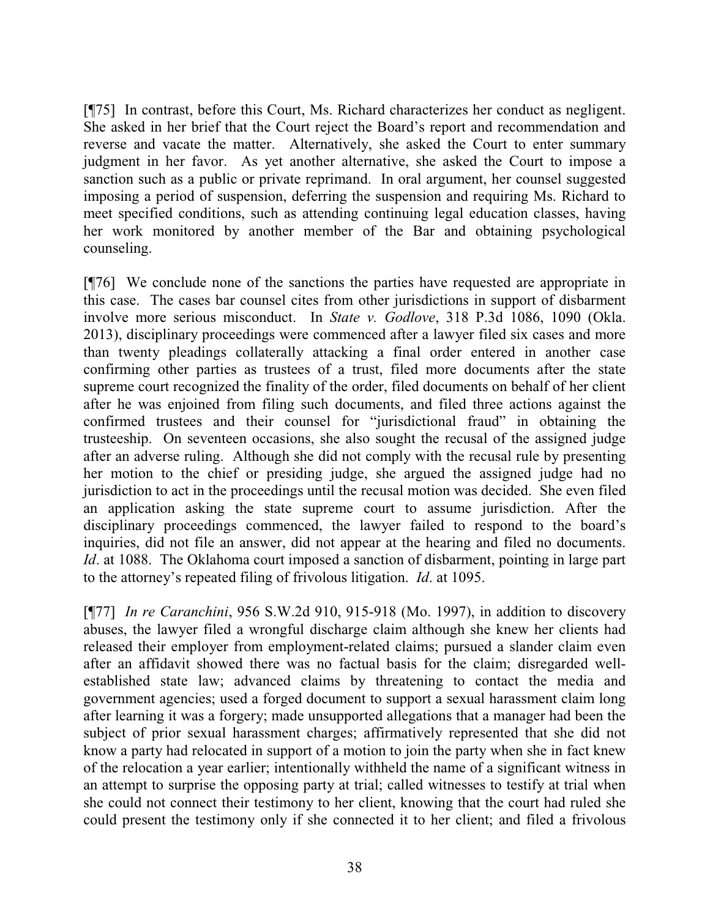[¶75] In contrast, before this Court, Ms. Richard characterizes her conduct as negligent. She asked in her brief that the Court reject the Board's report and recommendation and reverse and vacate the matter. Alternatively, she asked the Court to enter summary judgment in her favor. As yet another alternative, she asked the Court to impose a sanction such as a public or private reprimand. In oral argument, her counsel suggested imposing a period of suspension, deferring the suspension and requiring Ms. Richard to meet specified conditions, such as attending continuing legal education classes, having her work monitored by another member of the Bar and obtaining psychological counseling.

[¶76] We conclude none of the sanctions the parties have requested are appropriate in this case. The cases bar counsel cites from other jurisdictions in support of disbarment involve more serious misconduct. In *State v. Godlove*, 318 P.3d 1086, 1090 (Okla. 2013), disciplinary proceedings were commenced after a lawyer filed six cases and more than twenty pleadings collaterally attacking a final order entered in another case confirming other parties as trustees of a trust, filed more documents after the state supreme court recognized the finality of the order, filed documents on behalf of her client after he was enjoined from filing such documents, and filed three actions against the confirmed trustees and their counsel for "jurisdictional fraud" in obtaining the trusteeship. On seventeen occasions, she also sought the recusal of the assigned judge after an adverse ruling. Although she did not comply with the recusal rule by presenting her motion to the chief or presiding judge, she argued the assigned judge had no jurisdiction to act in the proceedings until the recusal motion was decided. She even filed an application asking the state supreme court to assume jurisdiction. After the disciplinary proceedings commenced, the lawyer failed to respond to the board's inquiries, did not file an answer, did not appear at the hearing and filed no documents. *Id.* at 1088. The Oklahoma court imposed a sanction of disbarment, pointing in large part to the attorney's repeated filing of frivolous litigation. *Id*. at 1095.

[¶77] *In re Caranchini*, 956 S.W.2d 910, 915-918 (Mo. 1997), in addition to discovery abuses, the lawyer filed a wrongful discharge claim although she knew her clients had released their employer from employment-related claims; pursued a slander claim even after an affidavit showed there was no factual basis for the claim; disregarded wellestablished state law; advanced claims by threatening to contact the media and government agencies; used a forged document to support a sexual harassment claim long after learning it was a forgery; made unsupported allegations that a manager had been the subject of prior sexual harassment charges; affirmatively represented that she did not know a party had relocated in support of a motion to join the party when she in fact knew of the relocation a year earlier; intentionally withheld the name of a significant witness in an attempt to surprise the opposing party at trial; called witnesses to testify at trial when she could not connect their testimony to her client, knowing that the court had ruled she could present the testimony only if she connected it to her client; and filed a frivolous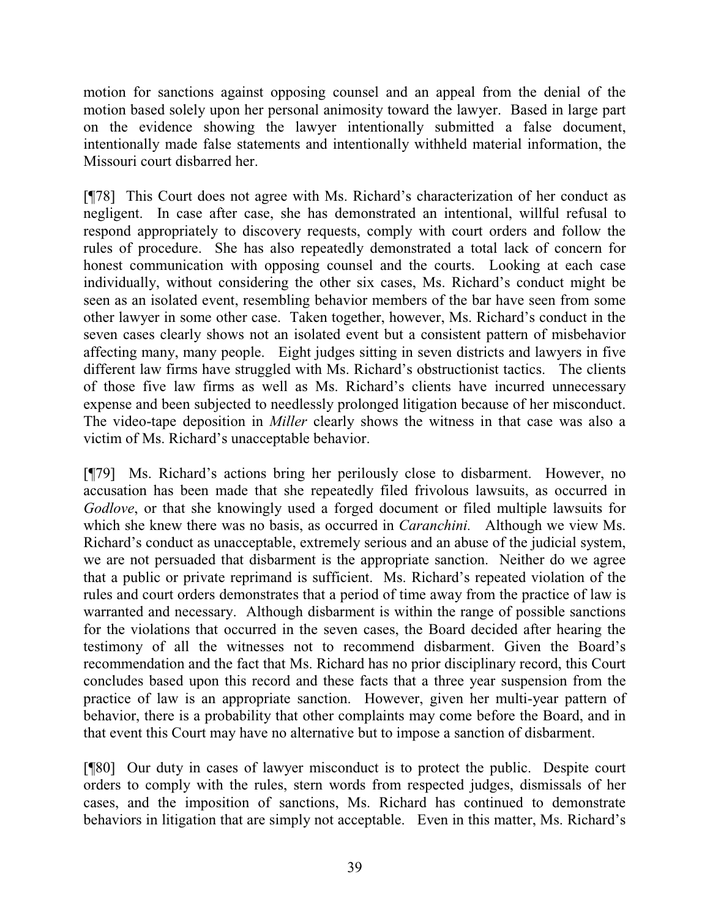motion for sanctions against opposing counsel and an appeal from the denial of the motion based solely upon her personal animosity toward the lawyer. Based in large part on the evidence showing the lawyer intentionally submitted a false document, intentionally made false statements and intentionally withheld material information, the Missouri court disbarred her.

[¶78] This Court does not agree with Ms. Richard's characterization of her conduct as negligent. In case after case, she has demonstrated an intentional, willful refusal to respond appropriately to discovery requests, comply with court orders and follow the rules of procedure. She has also repeatedly demonstrated a total lack of concern for honest communication with opposing counsel and the courts. Looking at each case individually, without considering the other six cases, Ms. Richard's conduct might be seen as an isolated event, resembling behavior members of the bar have seen from some other lawyer in some other case. Taken together, however, Ms. Richard's conduct in the seven cases clearly shows not an isolated event but a consistent pattern of misbehavior affecting many, many people. Eight judges sitting in seven districts and lawyers in five different law firms have struggled with Ms. Richard's obstructionist tactics. The clients of those five law firms as well as Ms. Richard's clients have incurred unnecessary expense and been subjected to needlessly prolonged litigation because of her misconduct. The video-tape deposition in *Miller* clearly shows the witness in that case was also a victim of Ms. Richard's unacceptable behavior.

[¶79] Ms. Richard's actions bring her perilously close to disbarment. However, no accusation has been made that she repeatedly filed frivolous lawsuits, as occurred in *Godlove*, or that she knowingly used a forged document or filed multiple lawsuits for which she knew there was no basis, as occurred in *Caranchini.* Although we view Ms. Richard's conduct as unacceptable, extremely serious and an abuse of the judicial system, we are not persuaded that disbarment is the appropriate sanction. Neither do we agree that a public or private reprimand is sufficient. Ms. Richard's repeated violation of the rules and court orders demonstrates that a period of time away from the practice of law is warranted and necessary. Although disbarment is within the range of possible sanctions for the violations that occurred in the seven cases, the Board decided after hearing the testimony of all the witnesses not to recommend disbarment. Given the Board's recommendation and the fact that Ms. Richard has no prior disciplinary record, this Court concludes based upon this record and these facts that a three year suspension from the practice of law is an appropriate sanction. However, given her multi-year pattern of behavior, there is a probability that other complaints may come before the Board, and in that event this Court may have no alternative but to impose a sanction of disbarment.

[¶80] Our duty in cases of lawyer misconduct is to protect the public. Despite court orders to comply with the rules, stern words from respected judges, dismissals of her cases, and the imposition of sanctions, Ms. Richard has continued to demonstrate behaviors in litigation that are simply not acceptable. Even in this matter, Ms. Richard's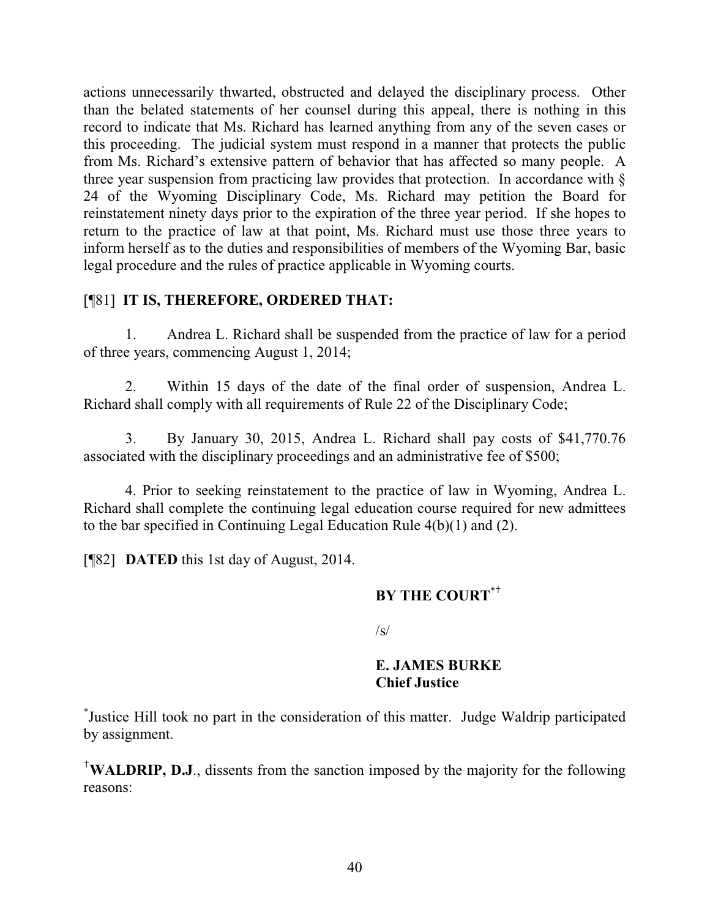actions unnecessarily thwarted, obstructed and delayed the disciplinary process. Other than the belated statements of her counsel during this appeal, there is nothing in this record to indicate that Ms. Richard has learned anything from any of the seven cases or this proceeding. The judicial system must respond in a manner that protects the public from Ms. Richard's extensive pattern of behavior that has affected so many people. A three year suspension from practicing law provides that protection. In accordance with  $\delta$ 24 of the Wyoming Disciplinary Code, Ms. Richard may petition the Board for reinstatement ninety days prior to the expiration of the three year period. If she hopes to return to the practice of law at that point, Ms. Richard must use those three years to inform herself as to the duties and responsibilities of members of the Wyoming Bar, basic legal procedure and the rules of practice applicable in Wyoming courts.

# [¶81] **IT IS, THEREFORE, ORDERED THAT:**

1. Andrea L. Richard shall be suspended from the practice of law for a period of three years, commencing August 1, 2014;

2. Within 15 days of the date of the final order of suspension, Andrea L. Richard shall comply with all requirements of Rule 22 of the Disciplinary Code;

3. By January 30, 2015, Andrea L. Richard shall pay costs of \$41,770.76 associated with the disciplinary proceedings and an administrative fee of \$500;

4. Prior to seeking reinstatement to the practice of law in Wyoming, Andrea L. Richard shall complete the continuing legal education course required for new admittees to the bar specified in Continuing Legal Education Rule 4(b)(1) and (2).

[¶82] **DATED** this 1st day of August, 2014.

# **BY THE COURT**\*†

 $\sqrt{s}$ 

## **E. JAMES BURKE Chief Justice**

\* Justice Hill took no part in the consideration of this matter. Judge Waldrip participated by assignment.

<sup>†</sup>WALDRIP, D.J., dissents from the sanction imposed by the majority for the following reasons: